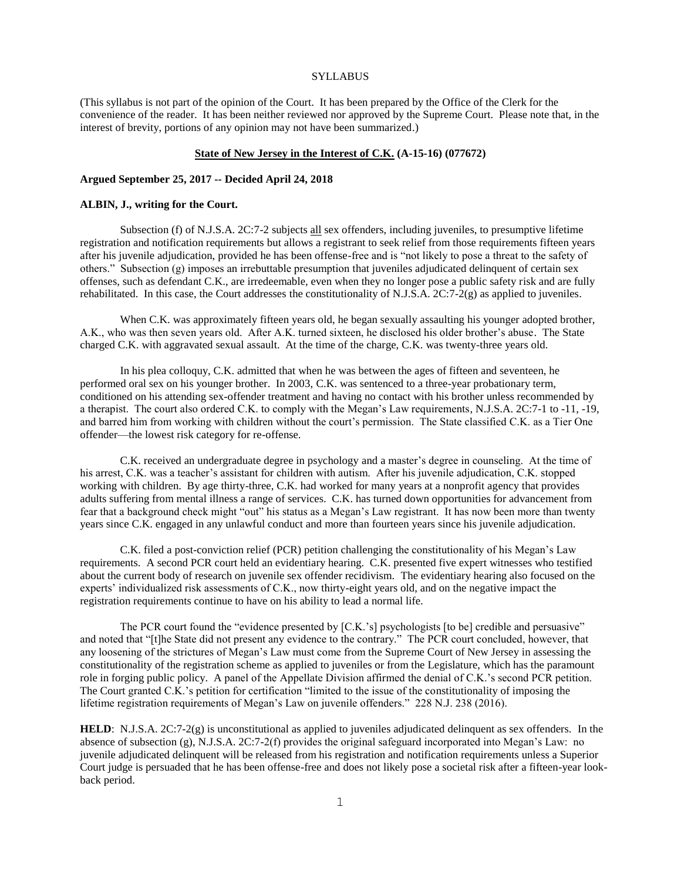#### SYLLABUS

(This syllabus is not part of the opinion of the Court. It has been prepared by the Office of the Clerk for the convenience of the reader. It has been neither reviewed nor approved by the Supreme Court. Please note that, in the interest of brevity, portions of any opinion may not have been summarized.)

### **State of New Jersey in the Interest of C.K. (A-15-16) (077672)**

### **Argued September 25, 2017 -- Decided April 24, 2018**

#### **ALBIN, J., writing for the Court.**

Subsection (f) of N.J.S.A. 2C:7-2 subjects all sex offenders, including juveniles, to presumptive lifetime registration and notification requirements but allows a registrant to seek relief from those requirements fifteen years after his juvenile adjudication, provided he has been offense-free and is "not likely to pose a threat to the safety of others." Subsection (g) imposes an irrebuttable presumption that juveniles adjudicated delinquent of certain sex offenses, such as defendant C.K., are irredeemable, even when they no longer pose a public safety risk and are fully rehabilitated. In this case, the Court addresses the constitutionality of N.J.S.A.  $2C:7-2(g)$  as applied to juveniles.

When C.K. was approximately fifteen years old, he began sexually assaulting his younger adopted brother, A.K., who was then seven years old. After A.K. turned sixteen, he disclosed his older brother's abuse. The State charged C.K. with aggravated sexual assault. At the time of the charge, C.K. was twenty-three years old.

In his plea colloquy, C.K. admitted that when he was between the ages of fifteen and seventeen, he performed oral sex on his younger brother. In 2003, C.K. was sentenced to a three-year probationary term, conditioned on his attending sex-offender treatment and having no contact with his brother unless recommended by a therapist. The court also ordered C.K. to comply with the Megan's Law requirements, N.J.S.A. 2C:7-1 to -11, -19, and barred him from working with children without the court's permission. The State classified C.K. as a Tier One offender—the lowest risk category for re-offense.

C.K. received an undergraduate degree in psychology and a master's degree in counseling. At the time of his arrest, C.K. was a teacher's assistant for children with autism. After his juvenile adjudication, C.K. stopped working with children. By age thirty-three, C.K. had worked for many years at a nonprofit agency that provides adults suffering from mental illness a range of services. C.K. has turned down opportunities for advancement from fear that a background check might "out" his status as a Megan's Law registrant. It has now been more than twenty years since C.K. engaged in any unlawful conduct and more than fourteen years since his juvenile adjudication.

C.K. filed a post-conviction relief (PCR) petition challenging the constitutionality of his Megan's Law requirements. A second PCR court held an evidentiary hearing. C.K. presented five expert witnesses who testified about the current body of research on juvenile sex offender recidivism. The evidentiary hearing also focused on the experts' individualized risk assessments of C.K., now thirty-eight years old, and on the negative impact the registration requirements continue to have on his ability to lead a normal life.

The PCR court found the "evidence presented by [C.K.'s] psychologists [to be] credible and persuasive" and noted that "[t]he State did not present any evidence to the contrary." The PCR court concluded, however, that any loosening of the strictures of Megan's Law must come from the Supreme Court of New Jersey in assessing the constitutionality of the registration scheme as applied to juveniles or from the Legislature, which has the paramount role in forging public policy. A panel of the Appellate Division affirmed the denial of C.K.'s second PCR petition. The Court granted C.K.'s petition for certification "limited to the issue of the constitutionality of imposing the lifetime registration requirements of Megan's Law on juvenile offenders." 228 N.J. 238 (2016).

**HELD**: N.J.S.A. 2C:7-2(g) is unconstitutional as applied to juveniles adjudicated delinquent as sex offenders. In the absence of subsection (g), N.J.S.A. 2C:7-2(f) provides the original safeguard incorporated into Megan's Law: no juvenile adjudicated delinquent will be released from his registration and notification requirements unless a Superior Court judge is persuaded that he has been offense-free and does not likely pose a societal risk after a fifteen-year lookback period.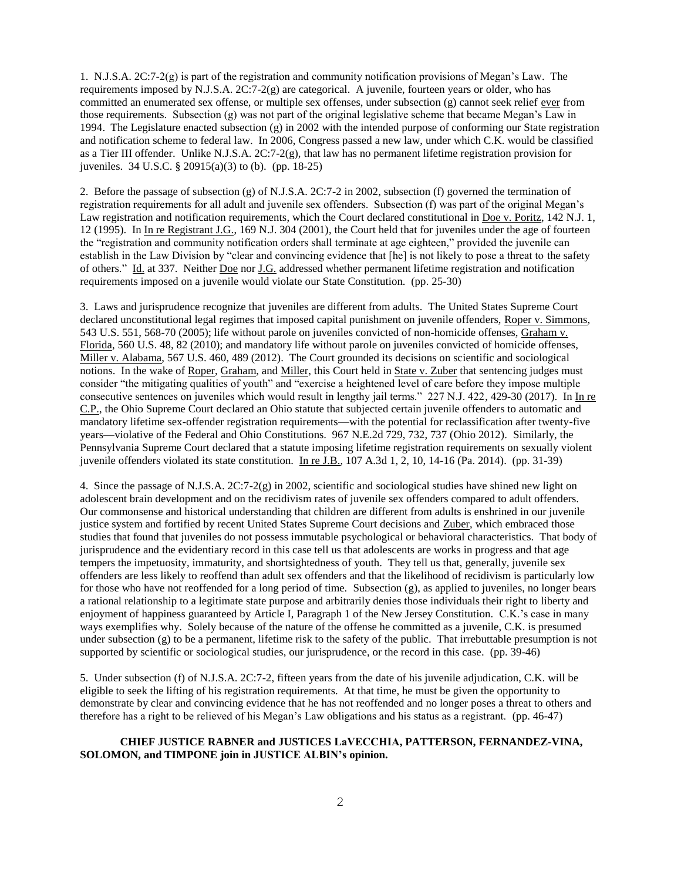1. N.J.S.A. 2C:7-2(g) is part of the registration and community notification provisions of Megan's Law. The requirements imposed by N.J.S.A. 2C:7-2(g) are categorical. A juvenile, fourteen years or older, who has committed an enumerated sex offense, or multiple sex offenses, under subsection (g) cannot seek relief ever from those requirements. Subsection (g) was not part of the original legislative scheme that became Megan's Law in 1994. The Legislature enacted subsection (g) in 2002 with the intended purpose of conforming our State registration and notification scheme to federal law. In 2006, Congress passed a new law, under which C.K. would be classified as a Tier III offender. Unlike N.J.S.A. 2C:7-2(g), that law has no permanent lifetime registration provision for juveniles. 34 U.S.C. § 20915(a)(3) to (b). (pp. 18-25)

2. Before the passage of subsection (g) of N.J.S.A. 2C:7-2 in 2002, subsection (f) governed the termination of registration requirements for all adult and juvenile sex offenders. Subsection (f) was part of the original Megan's Law registration and notification requirements, which the Court declared constitutional in Doe v. Poritz, 142 N.J. 1, 12 (1995). In In re Registrant J.G., 169 N.J. 304 (2001), the Court held that for juveniles under the age of fourteen the "registration and community notification orders shall terminate at age eighteen," provided the juvenile can establish in the Law Division by "clear and convincing evidence that [he] is not likely to pose a threat to the safety of others." Id. at 337. Neither Doe nor J.G. addressed whether permanent lifetime registration and notification requirements imposed on a juvenile would violate our State Constitution. (pp. 25-30)

3. Laws and jurisprudence recognize that juveniles are different from adults. The United States Supreme Court declared unconstitutional legal regimes that imposed capital punishment on juvenile offenders, Roper v. Simmons, 543 U.S. 551, 568-70 (2005); life without parole on juveniles convicted of non-homicide offenses, Graham v. Florida, 560 U.S. 48, 82 (2010); and mandatory life without parole on juveniles convicted of homicide offenses, Miller v. Alabama, 567 U.S. 460, 489 (2012). The Court grounded its decisions on scientific and sociological notions. In the wake of Roper, Graham, and Miller, this Court held in State v. Zuber that sentencing judges must consider "the mitigating qualities of youth" and "exercise a heightened level of care before they impose multiple consecutive sentences on juveniles which would result in lengthy jail terms." 227 N.J. 422, 429-30 (2017). In In re C.P., the Ohio Supreme Court declared an Ohio statute that subjected certain juvenile offenders to automatic and mandatory lifetime sex-offender registration requirements—with the potential for reclassification after twenty-five years—violative of the Federal and Ohio Constitutions. 967 N.E.2d 729, 732, 737 (Ohio 2012). Similarly, the Pennsylvania Supreme Court declared that a statute imposing lifetime registration requirements on sexually violent juvenile offenders violated its state constitution. In re J.B., 107 A.3d 1, 2, 10, 14-16 (Pa. 2014). (pp. 31-39)

4. Since the passage of N.J.S.A. 2C:7-2(g) in 2002, scientific and sociological studies have shined new light on adolescent brain development and on the recidivism rates of juvenile sex offenders compared to adult offenders. Our commonsense and historical understanding that children are different from adults is enshrined in our juvenile justice system and fortified by recent United States Supreme Court decisions and Zuber, which embraced those studies that found that juveniles do not possess immutable psychological or behavioral characteristics. That body of jurisprudence and the evidentiary record in this case tell us that adolescents are works in progress and that age tempers the impetuosity, immaturity, and shortsightedness of youth. They tell us that, generally, juvenile sex offenders are less likely to reoffend than adult sex offenders and that the likelihood of recidivism is particularly low for those who have not reoffended for a long period of time. Subsection (g), as applied to juveniles, no longer bears a rational relationship to a legitimate state purpose and arbitrarily denies those individuals their right to liberty and enjoyment of happiness guaranteed by Article I, Paragraph 1 of the New Jersey Constitution. C.K.'s case in many ways exemplifies why. Solely because of the nature of the offense he committed as a juvenile, C.K. is presumed under subsection (g) to be a permanent, lifetime risk to the safety of the public. That irrebuttable presumption is not supported by scientific or sociological studies, our jurisprudence, or the record in this case. (pp. 39-46)

5. Under subsection (f) of N.J.S.A. 2C:7-2, fifteen years from the date of his juvenile adjudication, C.K. will be eligible to seek the lifting of his registration requirements. At that time, he must be given the opportunity to demonstrate by clear and convincing evidence that he has not reoffended and no longer poses a threat to others and therefore has a right to be relieved of his Megan's Law obligations and his status as a registrant. (pp. 46-47)

# **CHIEF JUSTICE RABNER and JUSTICES LaVECCHIA, PATTERSON, FERNANDEZ-VINA, SOLOMON, and TIMPONE join in JUSTICE ALBIN's opinion.**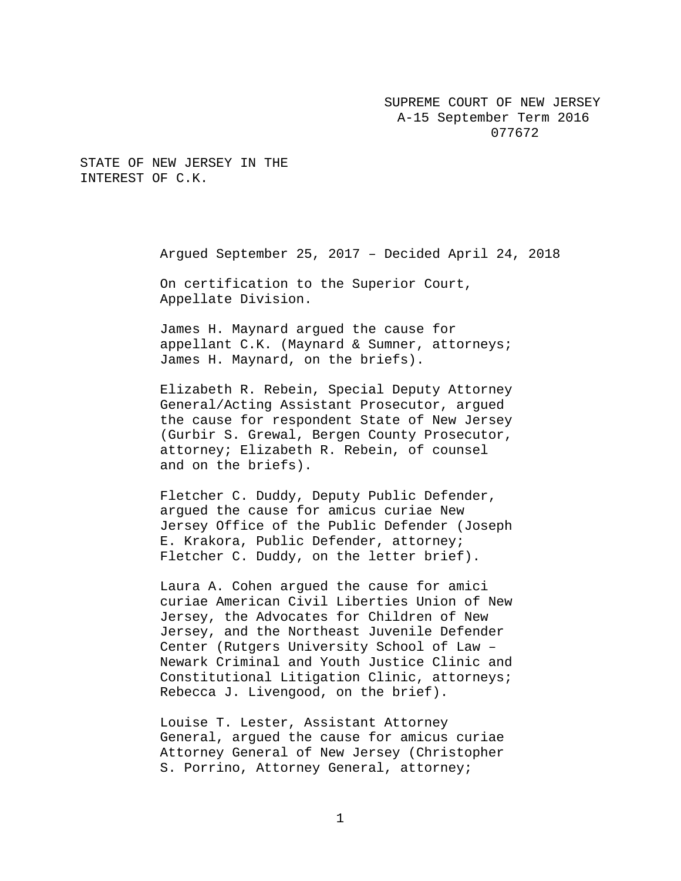SUPREME COURT OF NEW JERSEY A-15 September Term 2016 077672

STATE OF NEW JERSEY IN THE INTEREST OF C.K.

Argued September 25, 2017 – Decided April 24, 2018

On certification to the Superior Court, Appellate Division.

James H. Maynard argued the cause for appellant C.K. (Maynard & Sumner, attorneys; James H. Maynard, on the briefs).

Elizabeth R. Rebein, Special Deputy Attorney General/Acting Assistant Prosecutor, argued the cause for respondent State of New Jersey (Gurbir S. Grewal, Bergen County Prosecutor, attorney; Elizabeth R. Rebein, of counsel and on the briefs).

Fletcher C. Duddy, Deputy Public Defender, argued the cause for amicus curiae New Jersey Office of the Public Defender (Joseph E. Krakora, Public Defender, attorney; Fletcher C. Duddy, on the letter brief).

Laura A. Cohen argued the cause for amici curiae American Civil Liberties Union of New Jersey, the Advocates for Children of New Jersey, and the Northeast Juvenile Defender Center (Rutgers University School of Law – Newark Criminal and Youth Justice Clinic and Constitutional Litigation Clinic, attorneys; Rebecca J. Livengood, on the brief).

Louise T. Lester, Assistant Attorney General, argued the cause for amicus curiae Attorney General of New Jersey (Christopher S. Porrino, Attorney General, attorney;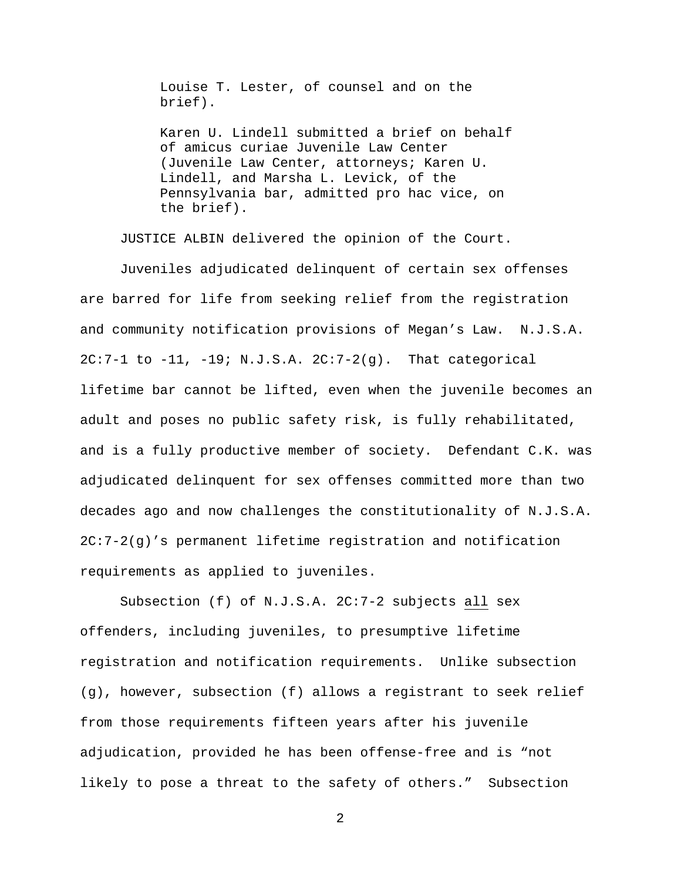Louise T. Lester, of counsel and on the brief).

Karen U. Lindell submitted a brief on behalf of amicus curiae Juvenile Law Center (Juvenile Law Center, attorneys; Karen U. Lindell, and Marsha L. Levick, of the Pennsylvania bar, admitted pro hac vice, on the brief).

JUSTICE ALBIN delivered the opinion of the Court.

Juveniles adjudicated delinquent of certain sex offenses are barred for life from seeking relief from the registration and community notification provisions of Megan's Law. N.J.S.A. 2C:7-1 to -11, -19; N.J.S.A. 2C:7-2(g). That categorical lifetime bar cannot be lifted, even when the juvenile becomes an adult and poses no public safety risk, is fully rehabilitated, and is a fully productive member of society. Defendant C.K. was adjudicated delinquent for sex offenses committed more than two decades ago and now challenges the constitutionality of N.J.S.A. 2C:7-2(g)'s permanent lifetime registration and notification requirements as applied to juveniles.

Subsection (f) of N.J.S.A. 2C:7-2 subjects all sex offenders, including juveniles, to presumptive lifetime registration and notification requirements. Unlike subsection (g), however, subsection (f) allows a registrant to seek relief from those requirements fifteen years after his juvenile adjudication, provided he has been offense-free and is "not likely to pose a threat to the safety of others." Subsection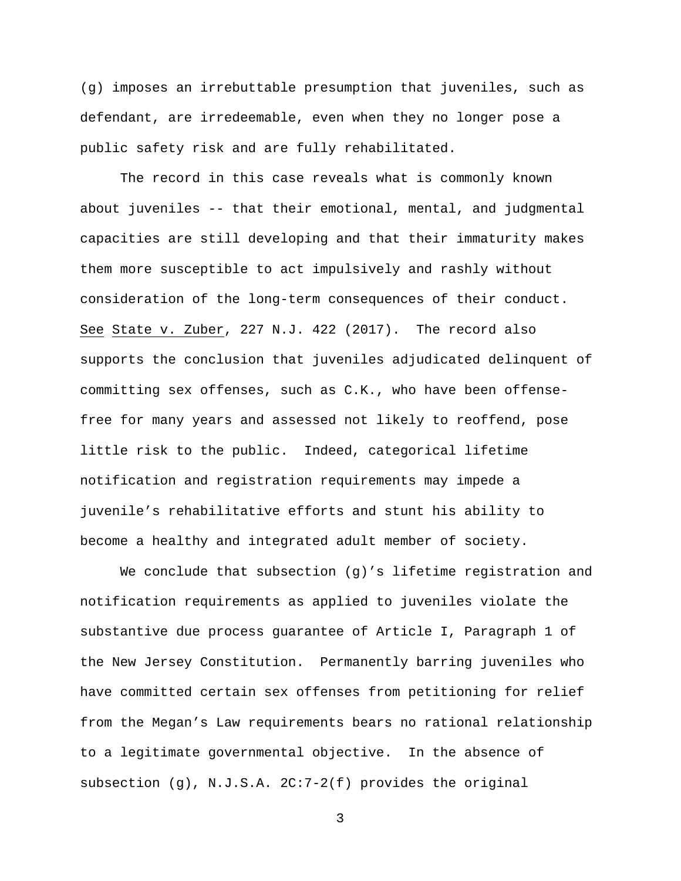(g) imposes an irrebuttable presumption that juveniles, such as defendant, are irredeemable, even when they no longer pose a public safety risk and are fully rehabilitated.

The record in this case reveals what is commonly known about juveniles -- that their emotional, mental, and judgmental capacities are still developing and that their immaturity makes them more susceptible to act impulsively and rashly without consideration of the long-term consequences of their conduct. See State v. Zuber, 227 N.J. 422 (2017). The record also supports the conclusion that juveniles adjudicated delinquent of committing sex offenses, such as C.K., who have been offensefree for many years and assessed not likely to reoffend, pose little risk to the public. Indeed, categorical lifetime notification and registration requirements may impede a juvenile's rehabilitative efforts and stunt his ability to become a healthy and integrated adult member of society.

We conclude that subsection (g)'s lifetime registration and notification requirements as applied to juveniles violate the substantive due process guarantee of Article I, Paragraph 1 of the New Jersey Constitution. Permanently barring juveniles who have committed certain sex offenses from petitioning for relief from the Megan's Law requirements bears no rational relationship to a legitimate governmental objective. In the absence of subsection (g), N.J.S.A. 2C:7-2(f) provides the original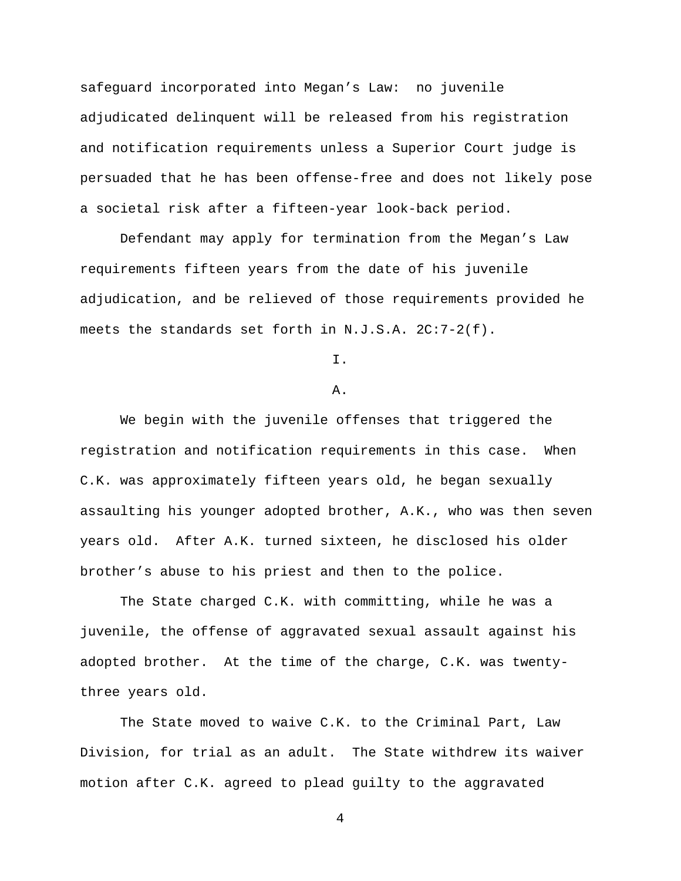safeguard incorporated into Megan's Law: no juvenile adjudicated delinquent will be released from his registration and notification requirements unless a Superior Court judge is persuaded that he has been offense-free and does not likely pose a societal risk after a fifteen-year look-back period.

Defendant may apply for termination from the Megan's Law requirements fifteen years from the date of his juvenile adjudication, and be relieved of those requirements provided he meets the standards set forth in N.J.S.A. 2C:7-2(f).

I.

#### A.

We begin with the juvenile offenses that triggered the registration and notification requirements in this case. When C.K. was approximately fifteen years old, he began sexually assaulting his younger adopted brother, A.K., who was then seven years old. After A.K. turned sixteen, he disclosed his older brother's abuse to his priest and then to the police.

The State charged C.K. with committing, while he was a juvenile, the offense of aggravated sexual assault against his adopted brother. At the time of the charge, C.K. was twentythree years old.

The State moved to waive C.K. to the Criminal Part, Law Division, for trial as an adult. The State withdrew its waiver motion after C.K. agreed to plead guilty to the aggravated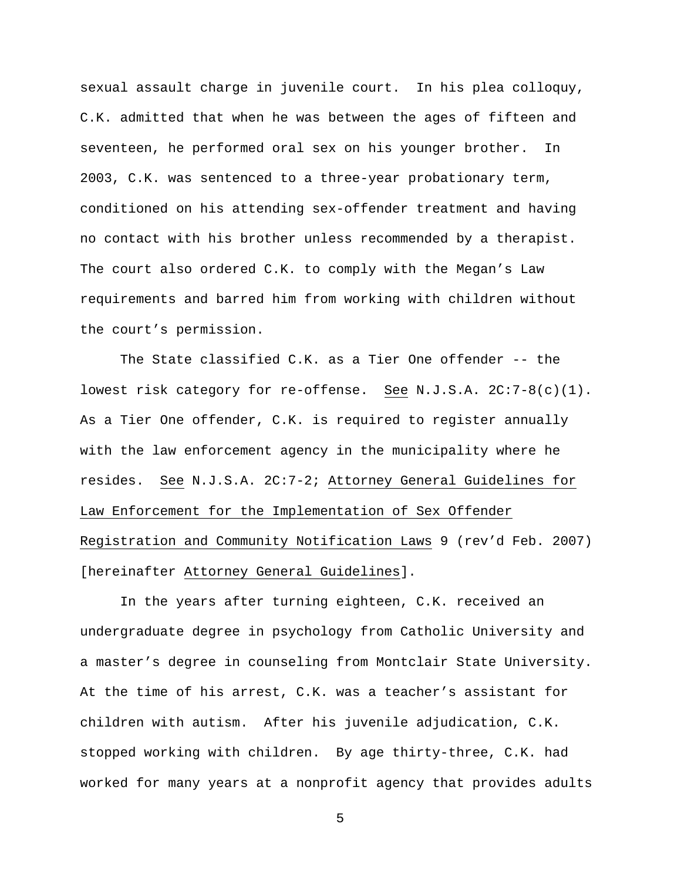sexual assault charge in juvenile court. In his plea colloquy, C.K. admitted that when he was between the ages of fifteen and seventeen, he performed oral sex on his younger brother. In 2003, C.K. was sentenced to a three-year probationary term, conditioned on his attending sex-offender treatment and having no contact with his brother unless recommended by a therapist. The court also ordered C.K. to comply with the Megan's Law requirements and barred him from working with children without the court's permission.

The State classified C.K. as a Tier One offender -- the lowest risk category for re-offense. See N.J.S.A. 2C:7-8(c)(1). As a Tier One offender, C.K. is required to register annually with the law enforcement agency in the municipality where he resides. See N.J.S.A. 2C:7-2; Attorney General Guidelines for Law Enforcement for the Implementation of Sex Offender Registration and Community Notification Laws 9 (rev'd Feb. 2007) [hereinafter Attorney General Guidelines].

In the years after turning eighteen, C.K. received an undergraduate degree in psychology from Catholic University and a master's degree in counseling from Montclair State University. At the time of his arrest, C.K. was a teacher's assistant for children with autism. After his juvenile adjudication, C.K. stopped working with children. By age thirty-three, C.K. had worked for many years at a nonprofit agency that provides adults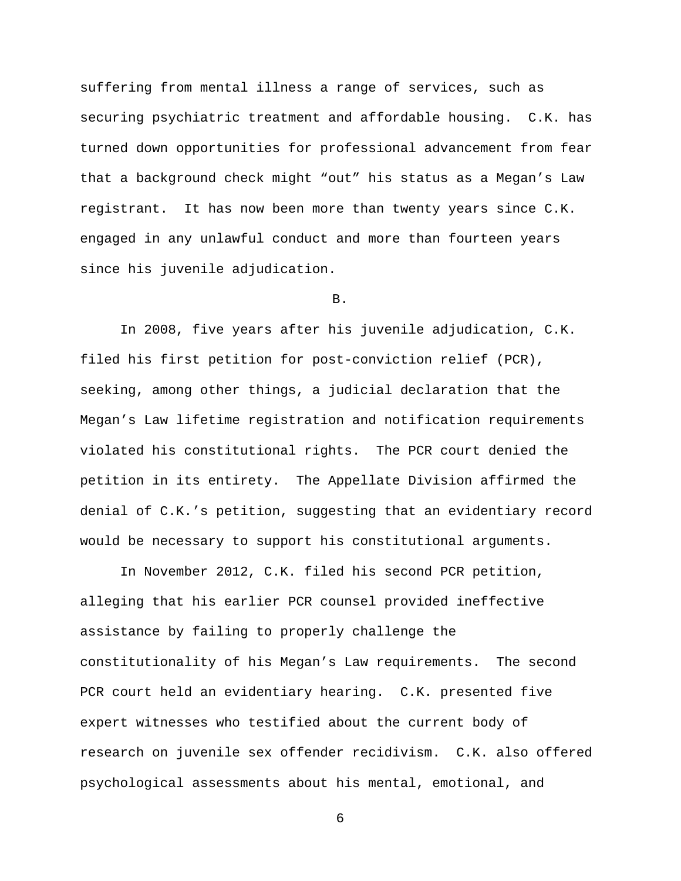suffering from mental illness a range of services, such as securing psychiatric treatment and affordable housing. C.K. has turned down opportunities for professional advancement from fear that a background check might "out" his status as a Megan's Law registrant. It has now been more than twenty years since C.K. engaged in any unlawful conduct and more than fourteen years since his juvenile adjudication.

B.

In 2008, five years after his juvenile adjudication, C.K. filed his first petition for post-conviction relief (PCR), seeking, among other things, a judicial declaration that the Megan's Law lifetime registration and notification requirements violated his constitutional rights. The PCR court denied the petition in its entirety. The Appellate Division affirmed the denial of C.K.'s petition, suggesting that an evidentiary record would be necessary to support his constitutional arguments.

In November 2012, C.K. filed his second PCR petition, alleging that his earlier PCR counsel provided ineffective assistance by failing to properly challenge the constitutionality of his Megan's Law requirements. The second PCR court held an evidentiary hearing. C.K. presented five expert witnesses who testified about the current body of research on juvenile sex offender recidivism. C.K. also offered psychological assessments about his mental, emotional, and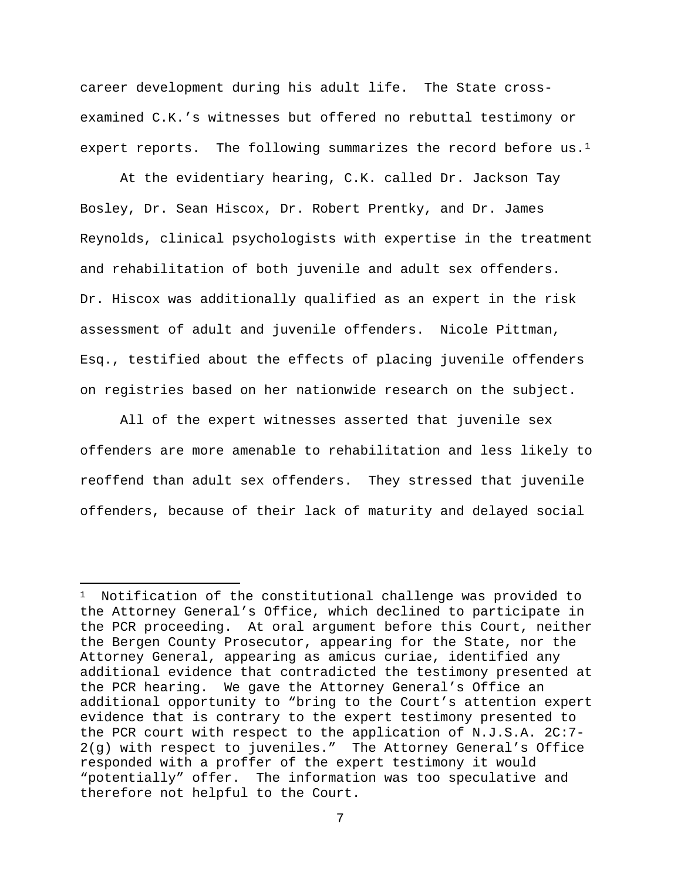career development during his adult life. The State crossexamined C.K.'s witnesses but offered no rebuttal testimony or expert reports. The following summarizes the record before us.<sup>1</sup>

At the evidentiary hearing, C.K. called Dr. Jackson Tay Bosley, Dr. Sean Hiscox, Dr. Robert Prentky, and Dr. James Reynolds, clinical psychologists with expertise in the treatment and rehabilitation of both juvenile and adult sex offenders. Dr. Hiscox was additionally qualified as an expert in the risk assessment of adult and juvenile offenders. Nicole Pittman, Esq., testified about the effects of placing juvenile offenders on registries based on her nationwide research on the subject.

All of the expert witnesses asserted that juvenile sex offenders are more amenable to rehabilitation and less likely to reoffend than adult sex offenders. They stressed that juvenile offenders, because of their lack of maturity and delayed social

l

<sup>1</sup> Notification of the constitutional challenge was provided to the Attorney General's Office, which declined to participate in the PCR proceeding. At oral argument before this Court, neither the Bergen County Prosecutor, appearing for the State, nor the Attorney General, appearing as amicus curiae, identified any additional evidence that contradicted the testimony presented at the PCR hearing. We gave the Attorney General's Office an additional opportunity to "bring to the Court's attention expert evidence that is contrary to the expert testimony presented to the PCR court with respect to the application of N.J.S.A. 2C:7- 2(g) with respect to juveniles." The Attorney General's Office responded with a proffer of the expert testimony it would "potentially" offer. The information was too speculative and therefore not helpful to the Court.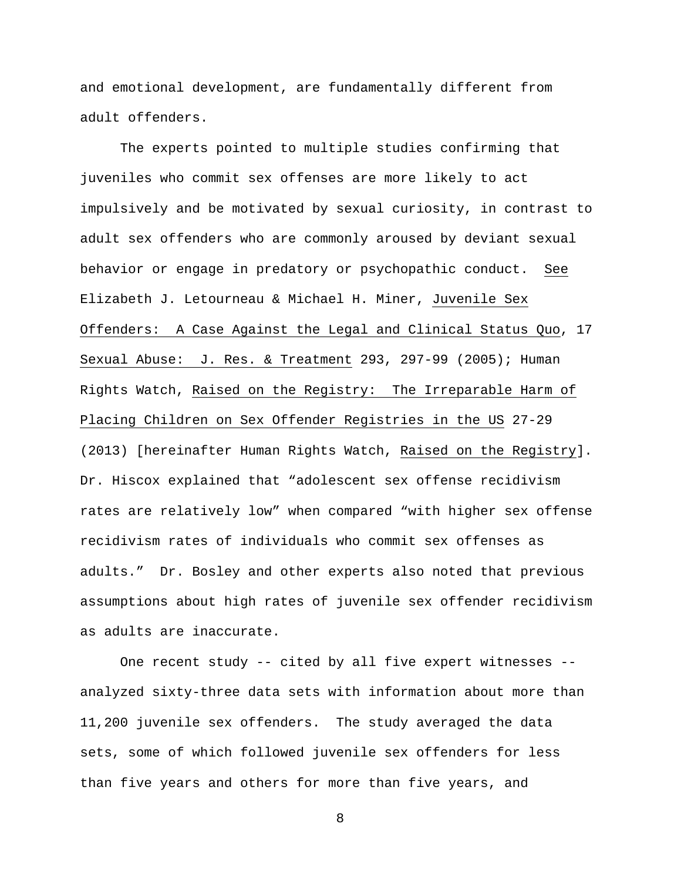and emotional development, are fundamentally different from adult offenders.

The experts pointed to multiple studies confirming that juveniles who commit sex offenses are more likely to act impulsively and be motivated by sexual curiosity, in contrast to adult sex offenders who are commonly aroused by deviant sexual behavior or engage in predatory or psychopathic conduct. See Elizabeth J. Letourneau & Michael H. Miner, Juvenile Sex Offenders: A Case Against the Legal and Clinical Status Quo, 17 Sexual Abuse: J. Res. & Treatment 293, 297-99 (2005); Human Rights Watch, Raised on the Registry: The Irreparable Harm of Placing Children on Sex Offender Registries in the US 27-29 (2013) [hereinafter Human Rights Watch, Raised on the Registry]. Dr. Hiscox explained that "adolescent sex offense recidivism rates are relatively low" when compared "with higher sex offense recidivism rates of individuals who commit sex offenses as adults." Dr. Bosley and other experts also noted that previous assumptions about high rates of juvenile sex offender recidivism as adults are inaccurate.

 One recent study -- cited by all five expert witnesses - analyzed sixty-three data sets with information about more than 11,200 juvenile sex offenders. The study averaged the data sets, some of which followed juvenile sex offenders for less than five years and others for more than five years, and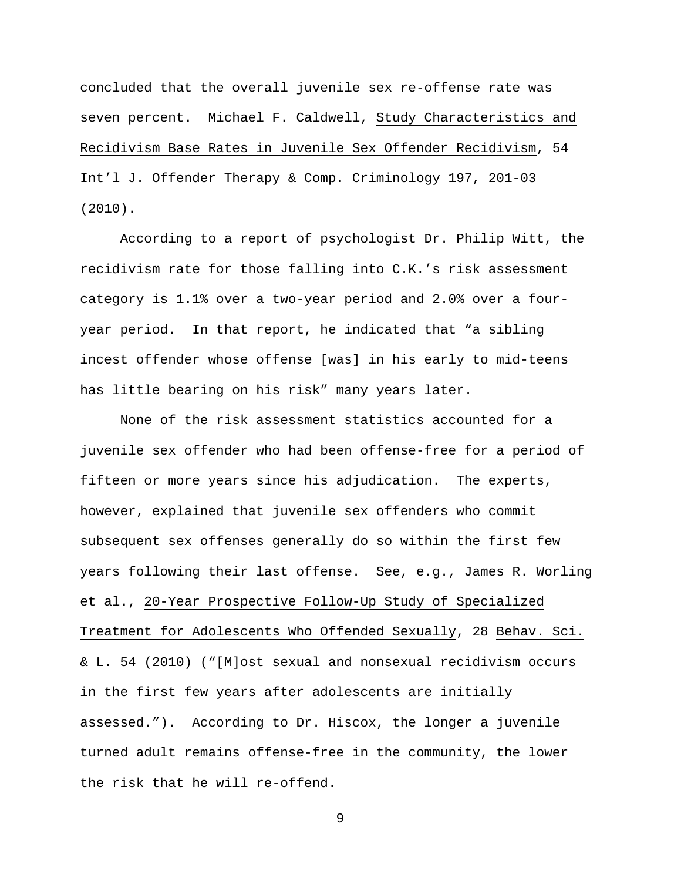concluded that the overall juvenile sex re-offense rate was seven percent. Michael F. Caldwell, Study Characteristics and Recidivism Base Rates in Juvenile Sex Offender Recidivism, 54 Int'l J. Offender Therapy & Comp. Criminology 197, 201-03 (2010).

 According to a report of psychologist Dr. Philip Witt, the recidivism rate for those falling into C.K.'s risk assessment category is 1.1% over a two-year period and 2.0% over a fouryear period. In that report, he indicated that "a sibling incest offender whose offense [was] in his early to mid-teens has little bearing on his risk" many years later.

None of the risk assessment statistics accounted for a juvenile sex offender who had been offense-free for a period of fifteen or more years since his adjudication. The experts, however, explained that juvenile sex offenders who commit subsequent sex offenses generally do so within the first few years following their last offense. See, e.g., James R. Worling et al., 20-Year Prospective Follow-Up Study of Specialized Treatment for Adolescents Who Offended Sexually, 28 Behav. Sci. & L. 54 (2010) ("[M]ost sexual and nonsexual recidivism occurs in the first few years after adolescents are initially assessed."). According to Dr. Hiscox, the longer a juvenile turned adult remains offense-free in the community, the lower the risk that he will re-offend.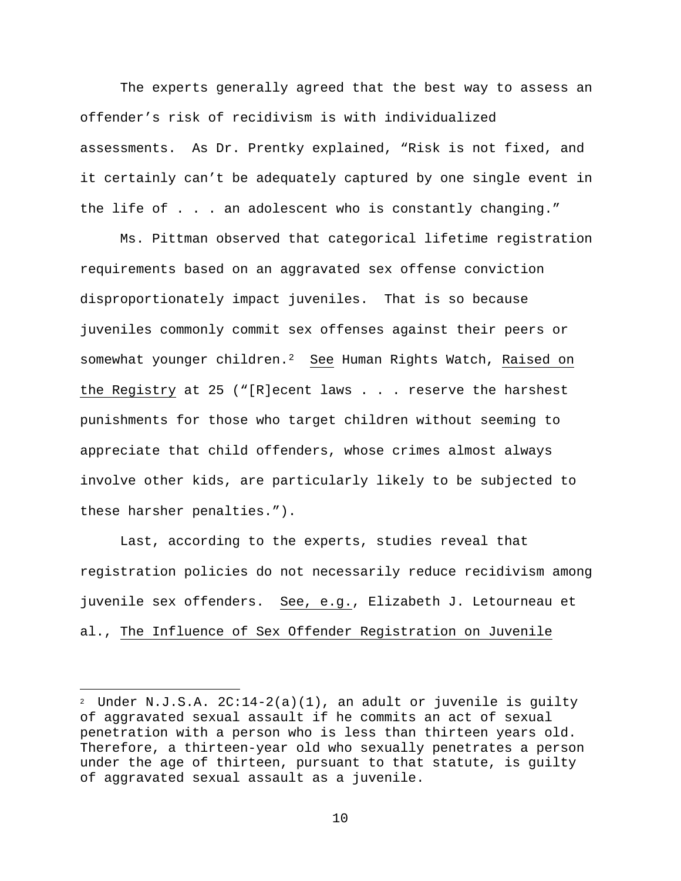The experts generally agreed that the best way to assess an offender's risk of recidivism is with individualized assessments. As Dr. Prentky explained, "Risk is not fixed, and it certainly can't be adequately captured by one single event in the life of . . . an adolescent who is constantly changing."

 Ms. Pittman observed that categorical lifetime registration requirements based on an aggravated sex offense conviction disproportionately impact juveniles. That is so because juveniles commonly commit sex offenses against their peers or somewhat younger children.2 See Human Rights Watch, Raised on the Registry at 25 ("[R]ecent laws . . . reserve the harshest punishments for those who target children without seeming to appreciate that child offenders, whose crimes almost always involve other kids, are particularly likely to be subjected to these harsher penalties.").

 Last, according to the experts, studies reveal that registration policies do not necessarily reduce recidivism among juvenile sex offenders. See, e.g., Elizabeth J. Letourneau et al., The Influence of Sex Offender Registration on Juvenile

l

<sup>2</sup> Under N.J.S.A. 2C:14-2(a)(1), an adult or juvenile is guilty of aggravated sexual assault if he commits an act of sexual penetration with a person who is less than thirteen years old. Therefore, a thirteen-year old who sexually penetrates a person under the age of thirteen, pursuant to that statute, is guilty of aggravated sexual assault as a juvenile.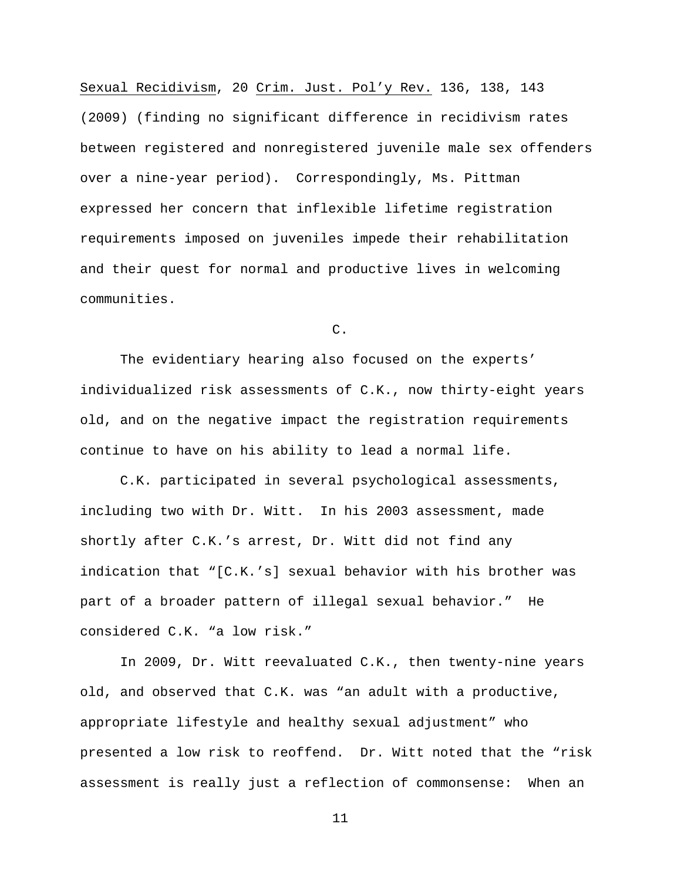Sexual Recidivism, 20 Crim. Just. Pol'y Rev. 136, 138, 143 (2009) (finding no significant difference in recidivism rates between registered and nonregistered juvenile male sex offenders over a nine-year period). Correspondingly, Ms. Pittman expressed her concern that inflexible lifetime registration requirements imposed on juveniles impede their rehabilitation and their quest for normal and productive lives in welcoming communities.

C.

 The evidentiary hearing also focused on the experts' individualized risk assessments of C.K., now thirty-eight years old, and on the negative impact the registration requirements continue to have on his ability to lead a normal life.

C.K. participated in several psychological assessments, including two with Dr. Witt. In his 2003 assessment, made shortly after C.K.'s arrest, Dr. Witt did not find any indication that "[C.K.'s] sexual behavior with his brother was part of a broader pattern of illegal sexual behavior." He considered C.K. "a low risk."

In 2009, Dr. Witt reevaluated C.K., then twenty-nine years old, and observed that C.K. was "an adult with a productive, appropriate lifestyle and healthy sexual adjustment" who presented a low risk to reoffend. Dr. Witt noted that the "risk assessment is really just a reflection of commonsense: When an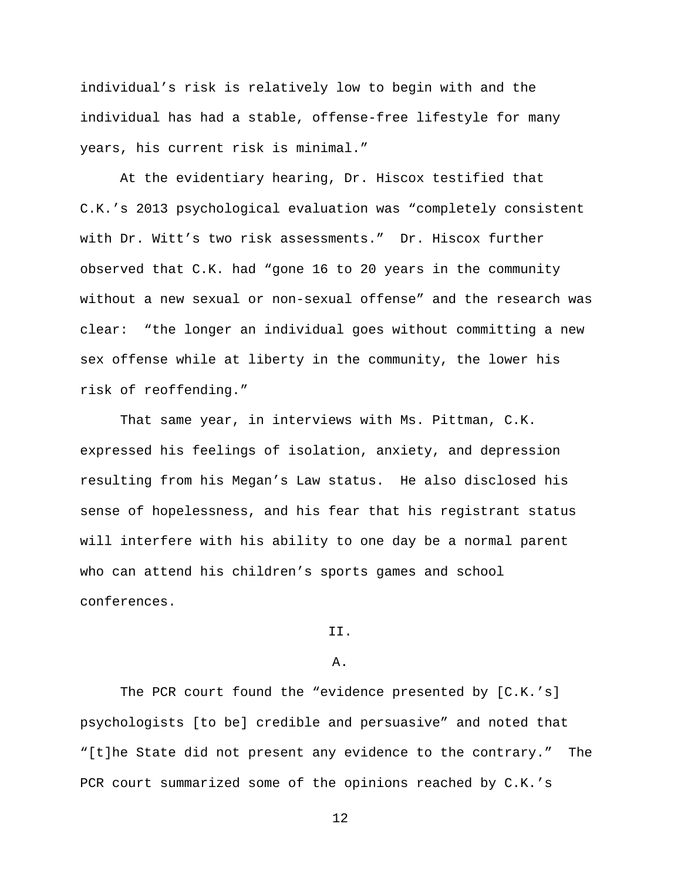individual's risk is relatively low to begin with and the individual has had a stable, offense-free lifestyle for many years, his current risk is minimal."

At the evidentiary hearing, Dr. Hiscox testified that C.K.'s 2013 psychological evaluation was "completely consistent with Dr. Witt's two risk assessments." Dr. Hiscox further observed that C.K. had "gone 16 to 20 years in the community without a new sexual or non-sexual offense" and the research was clear: "the longer an individual goes without committing a new sex offense while at liberty in the community, the lower his risk of reoffending."

That same year, in interviews with Ms. Pittman, C.K. expressed his feelings of isolation, anxiety, and depression resulting from his Megan's Law status. He also disclosed his sense of hopelessness, and his fear that his registrant status will interfere with his ability to one day be a normal parent who can attend his children's sports games and school conferences.

II.

### A.

The PCR court found the "evidence presented by [C.K.'s] psychologists [to be] credible and persuasive" and noted that "[t]he State did not present any evidence to the contrary." The PCR court summarized some of the opinions reached by C.K.'s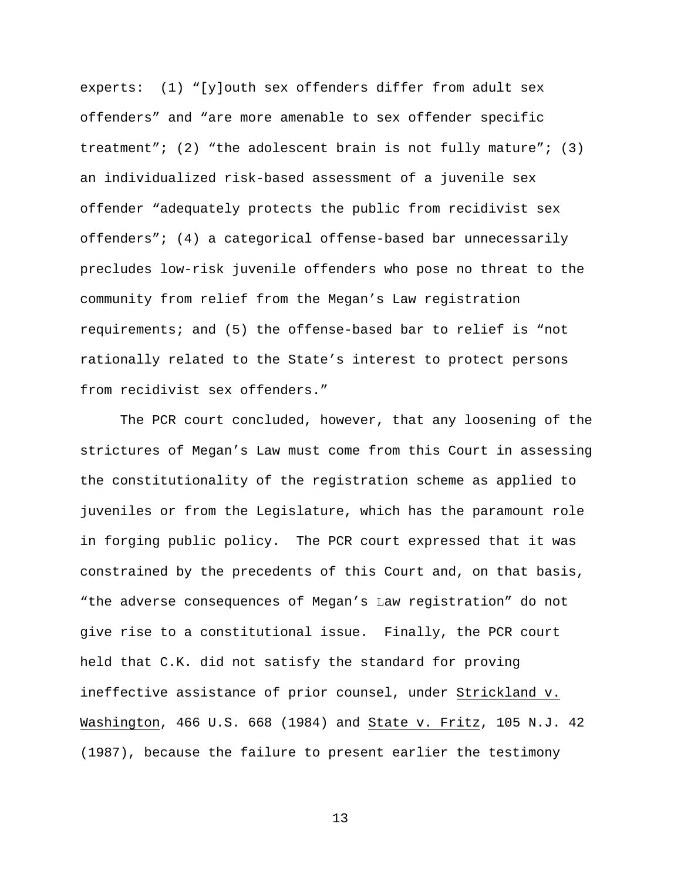experts: (1) "[y]outh sex offenders differ from adult sex offenders" and "are more amenable to sex offender specific treatment"; (2) "the adolescent brain is not fully mature"; (3) an individualized risk-based assessment of a juvenile sex offender "adequately protects the public from recidivist sex offenders"; (4) a categorical offense-based bar unnecessarily precludes low-risk juvenile offenders who pose no threat to the community from relief from the Megan's Law registration requirements; and (5) the offense-based bar to relief is "not rationally related to the State's interest to protect persons from recidivist sex offenders."

The PCR court concluded, however, that any loosening of the strictures of Megan's Law must come from this Court in assessing the constitutionality of the registration scheme as applied to juveniles or from the Legislature, which has the paramount role in forging public policy. The PCR court expressed that it was constrained by the precedents of this Court and, on that basis, "the adverse consequences of Megan's Law registration" do not give rise to a constitutional issue. Finally, the PCR court held that C.K. did not satisfy the standard for proving ineffective assistance of prior counsel, under Strickland v. Washington, 466 U.S. 668 (1984) and State v. Fritz, 105 N.J. 42 (1987), because the failure to present earlier the testimony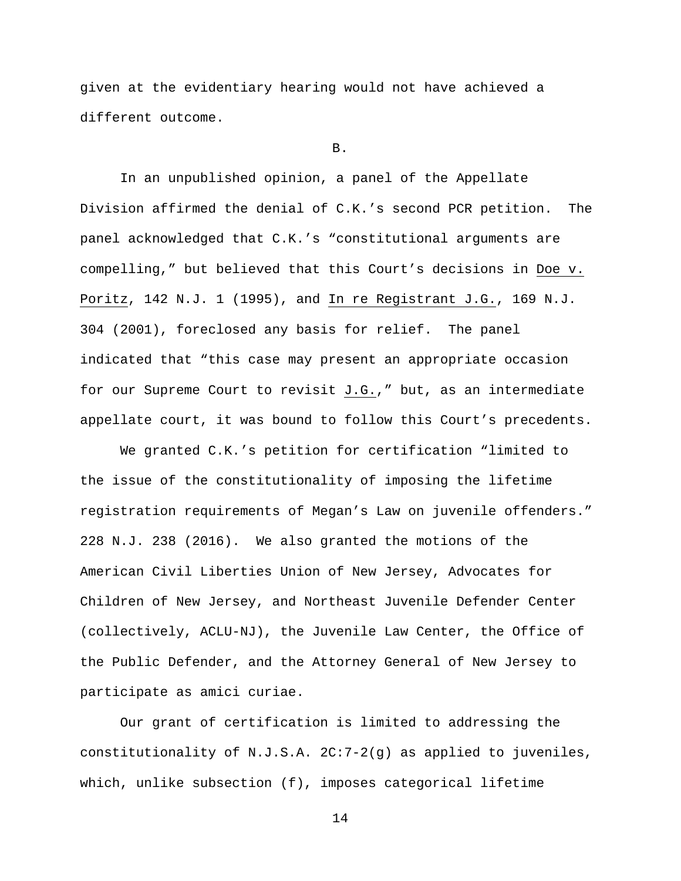given at the evidentiary hearing would not have achieved a different outcome.

B.

In an unpublished opinion, a panel of the Appellate Division affirmed the denial of C.K.'s second PCR petition. The panel acknowledged that C.K.'s "constitutional arguments are compelling," but believed that this Court's decisions in Doe v. Poritz, 142 N.J. 1 (1995), and In re Registrant J.G., 169 N.J. 304 (2001), foreclosed any basis for relief. The panel indicated that "this case may present an appropriate occasion for our Supreme Court to revisit J.G.," but, as an intermediate appellate court, it was bound to follow this Court's precedents.

We granted C.K.'s petition for certification "limited to the issue of the constitutionality of imposing the lifetime registration requirements of Megan's Law on juvenile offenders." 228 N.J. 238 (2016). We also granted the motions of the American Civil Liberties Union of New Jersey, Advocates for Children of New Jersey, and Northeast Juvenile Defender Center (collectively, ACLU-NJ), the Juvenile Law Center, the Office of the Public Defender, and the Attorney General of New Jersey to participate as amici curiae.

Our grant of certification is limited to addressing the constitutionality of N.J.S.A.  $2C:7-2(q)$  as applied to juveniles, which, unlike subsection (f), imposes categorical lifetime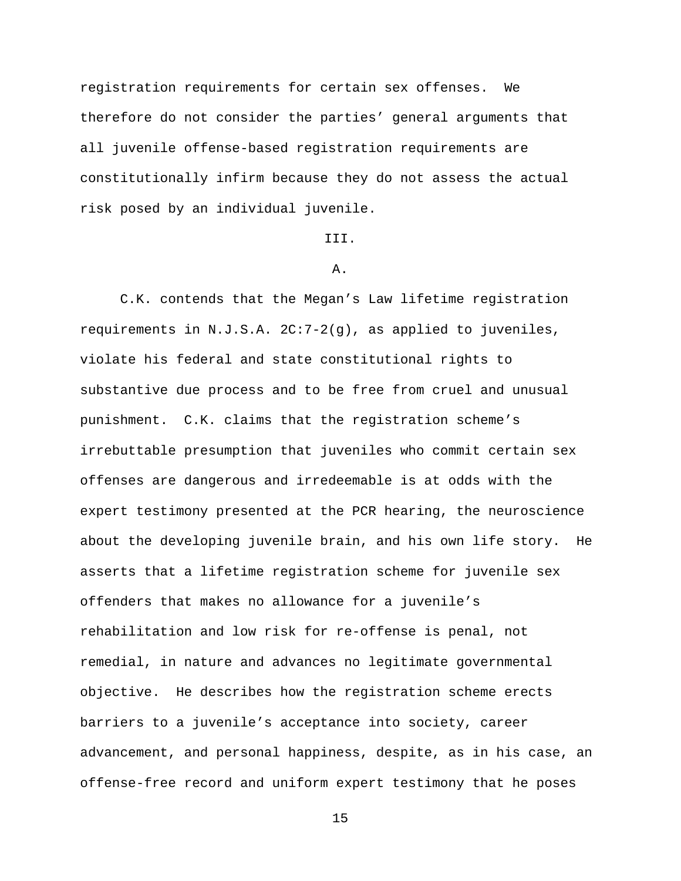registration requirements for certain sex offenses. We therefore do not consider the parties' general arguments that all juvenile offense-based registration requirements are constitutionally infirm because they do not assess the actual risk posed by an individual juvenile.

# III.

# A.

C.K. contends that the Megan's Law lifetime registration requirements in N.J.S.A. 2C:7-2(g), as applied to juveniles, violate his federal and state constitutional rights to substantive due process and to be free from cruel and unusual punishment. C.K. claims that the registration scheme's irrebuttable presumption that juveniles who commit certain sex offenses are dangerous and irredeemable is at odds with the expert testimony presented at the PCR hearing, the neuroscience about the developing juvenile brain, and his own life story. He asserts that a lifetime registration scheme for juvenile sex offenders that makes no allowance for a juvenile's rehabilitation and low risk for re-offense is penal, not remedial, in nature and advances no legitimate governmental objective. He describes how the registration scheme erects barriers to a juvenile's acceptance into society, career advancement, and personal happiness, despite, as in his case, an offense-free record and uniform expert testimony that he poses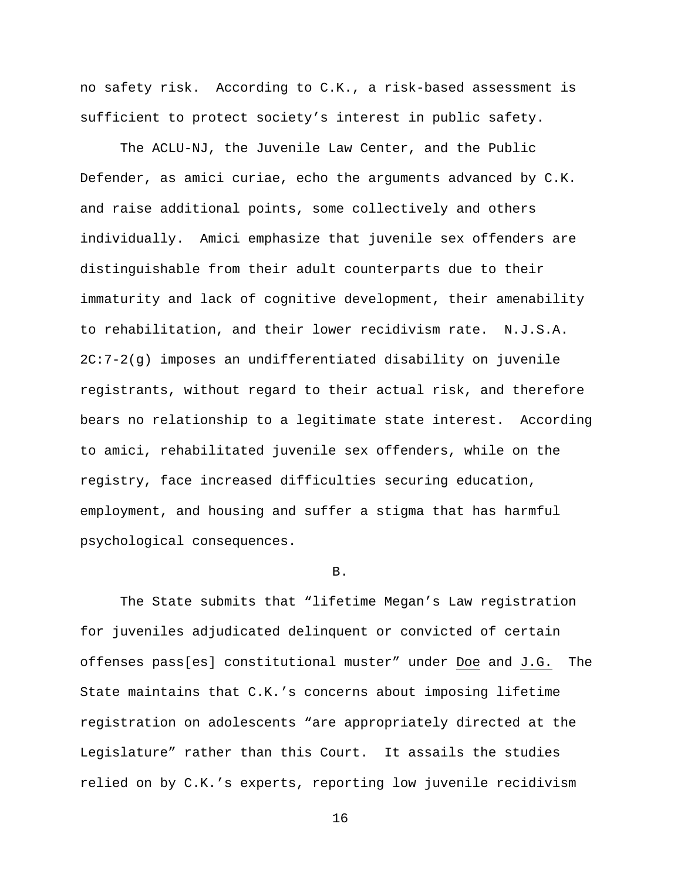no safety risk. According to C.K., a risk-based assessment is sufficient to protect society's interest in public safety.

The ACLU-NJ, the Juvenile Law Center, and the Public Defender, as amici curiae, echo the arguments advanced by C.K. and raise additional points, some collectively and others individually. Amici emphasize that juvenile sex offenders are distinguishable from their adult counterparts due to their immaturity and lack of cognitive development, their amenability to rehabilitation, and their lower recidivism rate. N.J.S.A. 2C:7-2(g) imposes an undifferentiated disability on juvenile registrants, without regard to their actual risk, and therefore bears no relationship to a legitimate state interest. According to amici, rehabilitated juvenile sex offenders, while on the registry, face increased difficulties securing education, employment, and housing and suffer a stigma that has harmful psychological consequences.

### B.

The State submits that "lifetime Megan's Law registration for juveniles adjudicated delinquent or convicted of certain offenses pass[es] constitutional muster" under Doe and J.G. The State maintains that C.K.'s concerns about imposing lifetime registration on adolescents "are appropriately directed at the Legislature" rather than this Court. It assails the studies relied on by C.K.'s experts, reporting low juvenile recidivism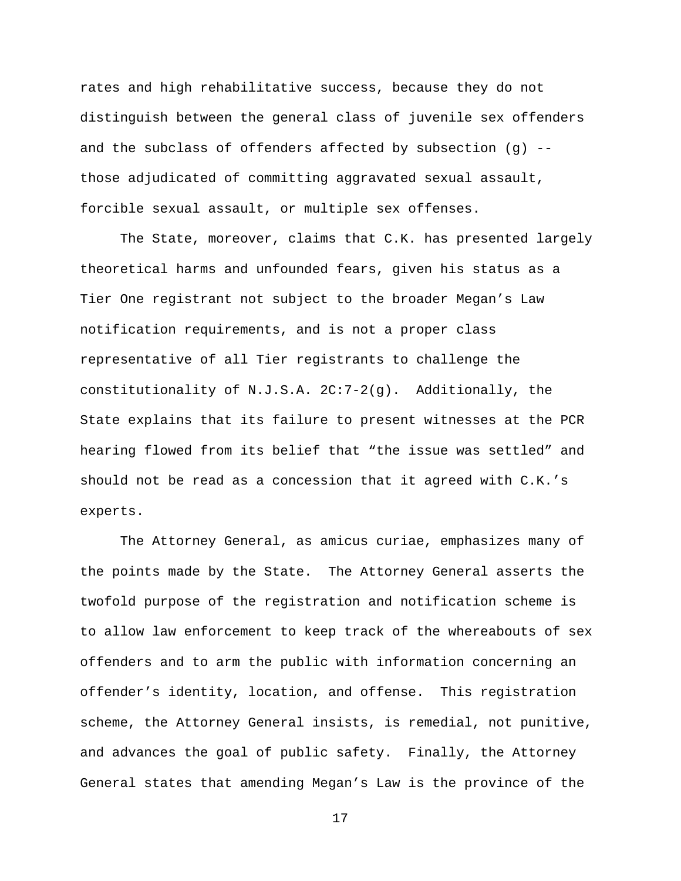rates and high rehabilitative success, because they do not distinguish between the general class of juvenile sex offenders and the subclass of offenders affected by subsection  $(q)$  -those adjudicated of committing aggravated sexual assault, forcible sexual assault, or multiple sex offenses.

The State, moreover, claims that C.K. has presented largely theoretical harms and unfounded fears, given his status as a Tier One registrant not subject to the broader Megan's Law notification requirements, and is not a proper class representative of all Tier registrants to challenge the constitutionality of N.J.S.A. 2C:7-2(g). Additionally, the State explains that its failure to present witnesses at the PCR hearing flowed from its belief that "the issue was settled" and should not be read as a concession that it agreed with C.K.'s experts.

The Attorney General, as amicus curiae, emphasizes many of the points made by the State. The Attorney General asserts the twofold purpose of the registration and notification scheme is to allow law enforcement to keep track of the whereabouts of sex offenders and to arm the public with information concerning an offender's identity, location, and offense. This registration scheme, the Attorney General insists, is remedial, not punitive, and advances the goal of public safety. Finally, the Attorney General states that amending Megan's Law is the province of the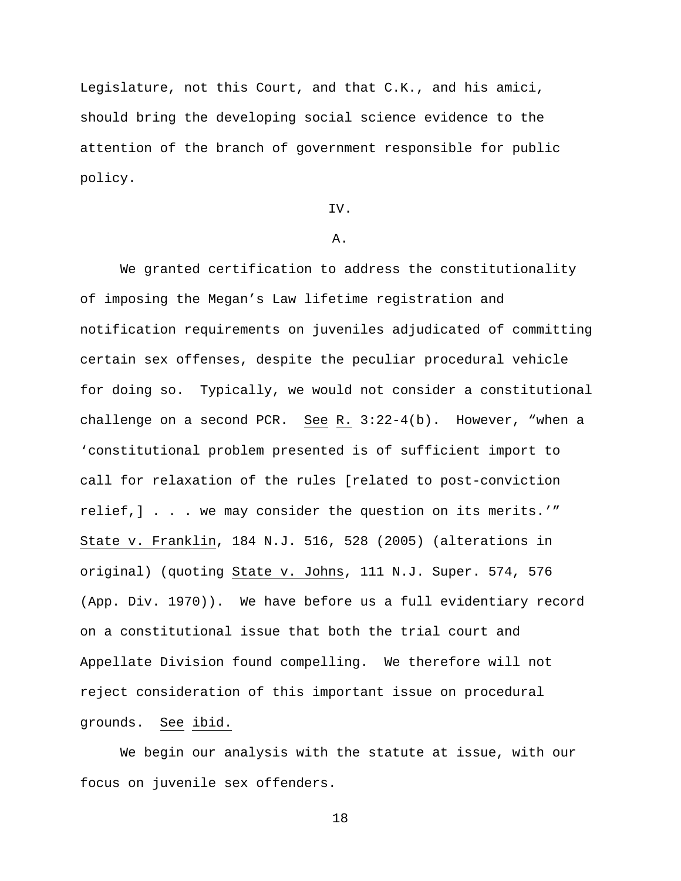Legislature, not this Court, and that C.K., and his amici, should bring the developing social science evidence to the attention of the branch of government responsible for public policy.

## IV.

# A.

We granted certification to address the constitutionality of imposing the Megan's Law lifetime registration and notification requirements on juveniles adjudicated of committing certain sex offenses, despite the peculiar procedural vehicle for doing so. Typically, we would not consider a constitutional challenge on a second PCR. See R. 3:22-4(b). However, "when a 'constitutional problem presented is of sufficient import to call for relaxation of the rules [related to post-conviction relief,] . . . we may consider the question on its merits.'" State v. Franklin, 184 N.J. 516, 528 (2005) (alterations in original) (quoting State v. Johns, 111 N.J. Super. 574, 576 (App. Div. 1970)). We have before us a full evidentiary record on a constitutional issue that both the trial court and Appellate Division found compelling. We therefore will not reject consideration of this important issue on procedural grounds. See ibid.

We begin our analysis with the statute at issue, with our focus on juvenile sex offenders.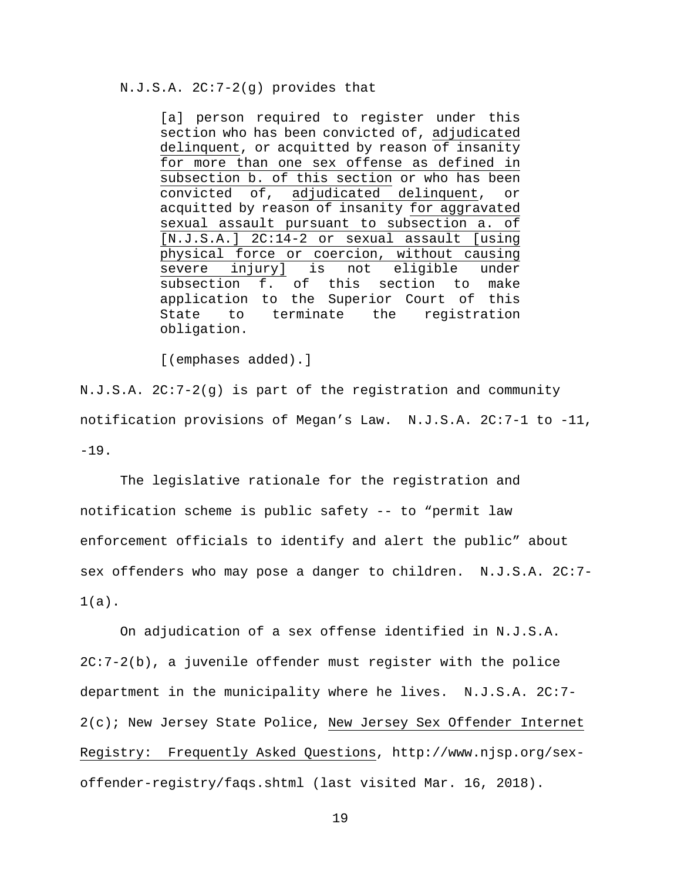### N.J.S.A. 2C:7-2(g) provides that

[a] person required to register under this section who has been convicted of, adjudicated delinquent, or acquitted by reason of insanity for more than one sex offense as defined in subsection b. of this section or who has been convicted of, adjudicated delinquent, or acquitted by reason of insanity for aggravated sexual assault pursuant to subsection a. of [N.J.S.A.] 2C:14-2 or sexual assault [using physical force or coercion, without causing<br>severe injury] is not eligible under is not eligible under<br>f this section to make subsection f. of this section to make application to the Superior Court of this State to terminate the registration obligation.

[(emphases added).]

N.J.S.A. 2C:7-2(g) is part of the registration and community notification provisions of Megan's Law. N.J.S.A. 2C:7-1 to -11, -19.

The legislative rationale for the registration and notification scheme is public safety -- to "permit law enforcement officials to identify and alert the public" about sex offenders who may pose a danger to children. N.J.S.A. 2C:7-  $1(a)$ .

On adjudication of a sex offense identified in N.J.S.A. 2C:7-2(b), a juvenile offender must register with the police department in the municipality where he lives. N.J.S.A. 2C:7- 2(c); New Jersey State Police, New Jersey Sex Offender Internet Registry: Frequently Asked Questions, http://www.njsp.org/sexoffender-registry/faqs.shtml (last visited Mar. 16, 2018).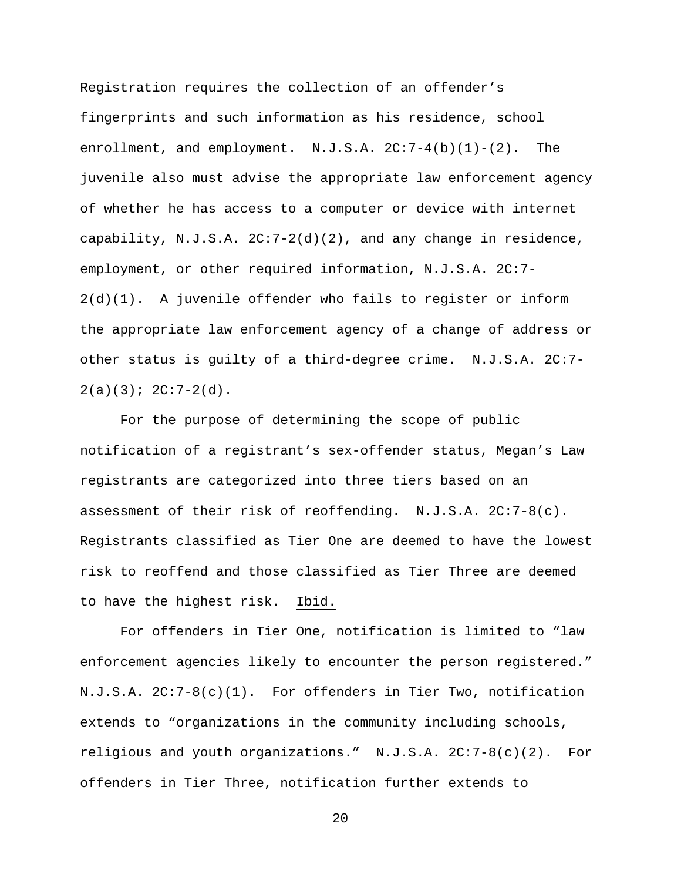Registration requires the collection of an offender's fingerprints and such information as his residence, school enrollment, and employment. N.J.S.A. 2C:7-4(b)(1)-(2). The juvenile also must advise the appropriate law enforcement agency of whether he has access to a computer or device with internet capability, N.J.S.A. 2C:7-2(d)(2), and any change in residence, employment, or other required information, N.J.S.A. 2C:7- 2(d)(1). A juvenile offender who fails to register or inform the appropriate law enforcement agency of a change of address or other status is guilty of a third-degree crime. N.J.S.A. 2C:7-  $2(a)(3); 2C:7-2(d).$ 

For the purpose of determining the scope of public notification of a registrant's sex-offender status, Megan's Law registrants are categorized into three tiers based on an assessment of their risk of reoffending. N.J.S.A. 2C:7-8(c). Registrants classified as Tier One are deemed to have the lowest risk to reoffend and those classified as Tier Three are deemed to have the highest risk. Ibid.

For offenders in Tier One, notification is limited to "law enforcement agencies likely to encounter the person registered." N.J.S.A. 2C:7-8(c)(1). For offenders in Tier Two, notification extends to "organizations in the community including schools, religious and youth organizations." N.J.S.A. 2C:7-8(c)(2). For offenders in Tier Three, notification further extends to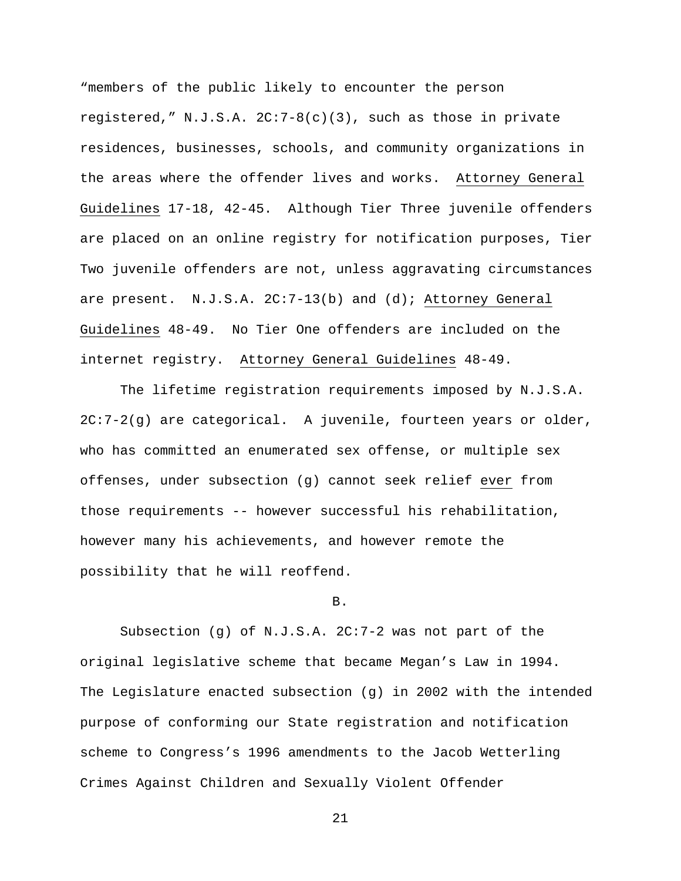"members of the public likely to encounter the person registered," N.J.S.A.  $2C:7-8(c)(3)$ , such as those in private residences, businesses, schools, and community organizations in the areas where the offender lives and works. Attorney General Guidelines 17-18, 42-45. Although Tier Three juvenile offenders are placed on an online registry for notification purposes, Tier Two juvenile offenders are not, unless aggravating circumstances are present. N.J.S.A. 2C:7-13(b) and (d); Attorney General Guidelines 48-49. No Tier One offenders are included on the internet registry. Attorney General Guidelines 48-49.

The lifetime registration requirements imposed by N.J.S.A. 2C:7-2(g) are categorical. A juvenile, fourteen years or older, who has committed an enumerated sex offense, or multiple sex offenses, under subsection (g) cannot seek relief ever from those requirements -- however successful his rehabilitation, however many his achievements, and however remote the possibility that he will reoffend.

B.

Subsection (g) of N.J.S.A. 2C:7-2 was not part of the original legislative scheme that became Megan's Law in 1994. The Legislature enacted subsection (g) in 2002 with the intended purpose of conforming our State registration and notification scheme to Congress's 1996 amendments to the Jacob Wetterling Crimes Against Children and Sexually Violent Offender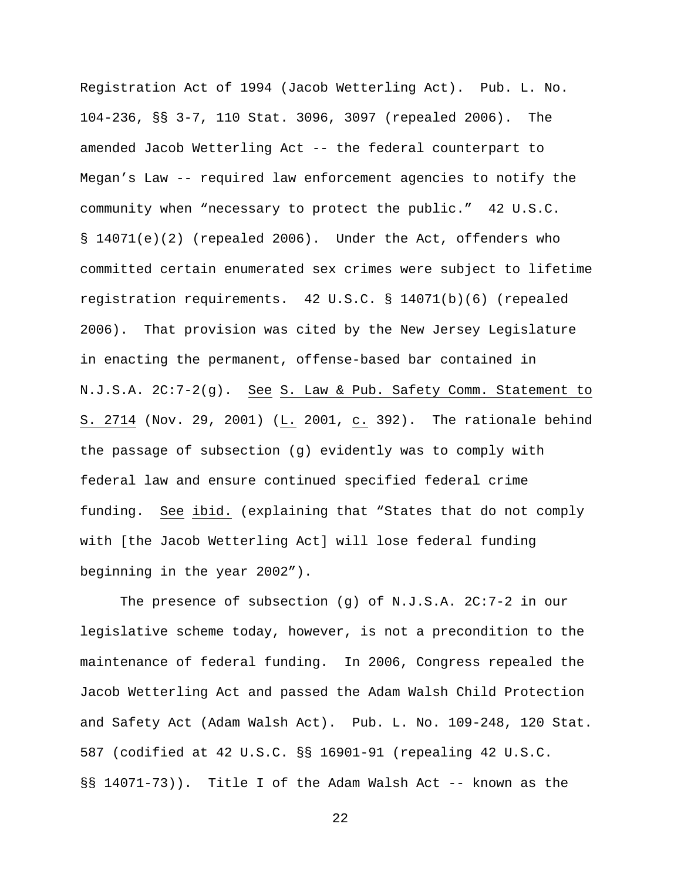Registration Act of 1994 (Jacob Wetterling Act). Pub. L. No. 104-236, §§ 3-7, 110 Stat. 3096, 3097 (repealed 2006). The amended Jacob Wetterling Act -- the federal counterpart to Megan's Law -- required law enforcement agencies to notify the community when "necessary to protect the public." 42 U.S.C. § 14071(e)(2) (repealed 2006). Under the Act, offenders who committed certain enumerated sex crimes were subject to lifetime registration requirements. 42 U.S.C. § 14071(b)(6) (repealed 2006). That provision was cited by the New Jersey Legislature in enacting the permanent, offense-based bar contained in N.J.S.A. 2C:7-2(g). See S. Law & Pub. Safety Comm. Statement to S. 2714 (Nov. 29, 2001) (L. 2001, c. 392). The rationale behind the passage of subsection (g) evidently was to comply with federal law and ensure continued specified federal crime funding. See ibid. (explaining that "States that do not comply with [the Jacob Wetterling Act] will lose federal funding beginning in the year 2002").

The presence of subsection (g) of N.J.S.A. 2C:7-2 in our legislative scheme today, however, is not a precondition to the maintenance of federal funding. In 2006, Congress repealed the Jacob Wetterling Act and passed the Adam Walsh Child Protection and Safety Act (Adam Walsh Act). Pub. L. No. 109-248, 120 Stat. 587 (codified at 42 U.S.C. §§ 16901-91 (repealing 42 U.S.C. §§ 14071-73)). Title I of the Adam Walsh Act -- known as the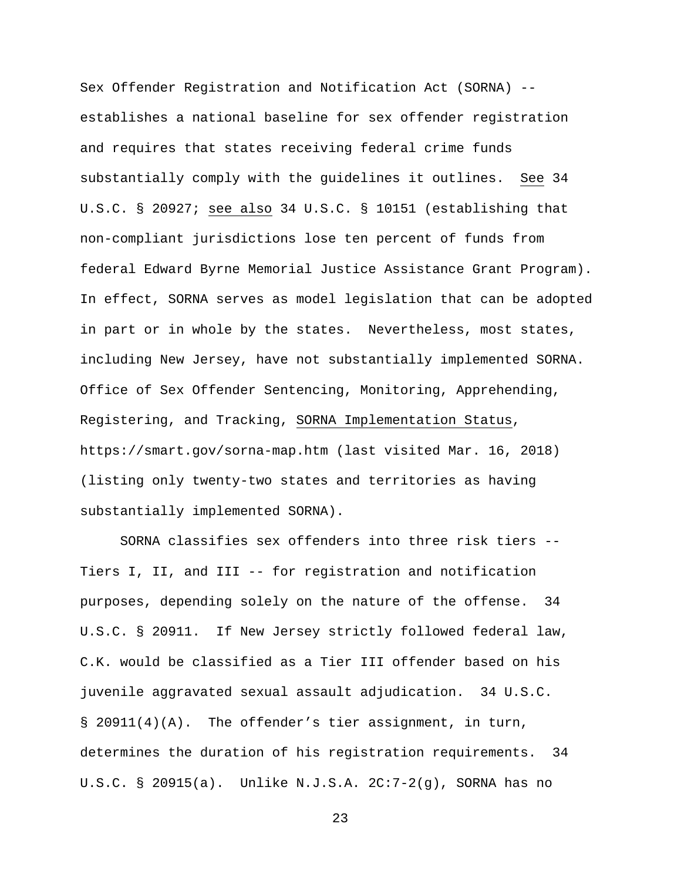Sex Offender Registration and Notification Act (SORNA) - establishes a national baseline for sex offender registration and requires that states receiving federal crime funds substantially comply with the guidelines it outlines. See 34 U.S.C. § 20927; see also 34 U.S.C. § 10151 (establishing that non-compliant jurisdictions lose ten percent of funds from federal Edward Byrne Memorial Justice Assistance Grant Program). In effect, SORNA serves as model legislation that can be adopted in part or in whole by the states. Nevertheless, most states, including New Jersey, have not substantially implemented SORNA. Office of Sex Offender Sentencing, Monitoring, Apprehending, Registering, and Tracking, SORNA Implementation Status, https://smart.gov/sorna-map.htm (last visited Mar. 16, 2018) (listing only twenty-two states and territories as having substantially implemented SORNA).

SORNA classifies sex offenders into three risk tiers -- Tiers I, II, and III -- for registration and notification purposes, depending solely on the nature of the offense. 34 U.S.C. § 20911. If New Jersey strictly followed federal law, C.K. would be classified as a Tier III offender based on his juvenile aggravated sexual assault adjudication. 34 U.S.C.  $\S$  20911(4)(A). The offender's tier assignment, in turn, determines the duration of his registration requirements. 34 U.S.C. § 20915(a). Unlike N.J.S.A. 2C:7-2(g), SORNA has no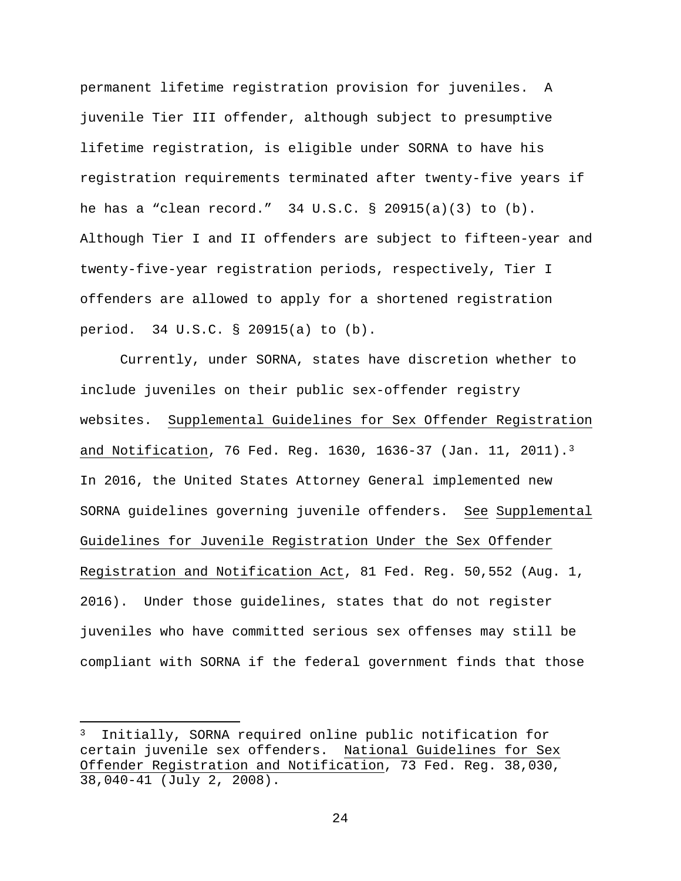permanent lifetime registration provision for juveniles. A juvenile Tier III offender, although subject to presumptive lifetime registration, is eligible under SORNA to have his registration requirements terminated after twenty-five years if he has a "clean record." 34 U.S.C. § 20915(a)(3) to (b). Although Tier I and II offenders are subject to fifteen-year and twenty-five-year registration periods, respectively, Tier I offenders are allowed to apply for a shortened registration period. 34 U.S.C. § 20915(a) to (b).

Currently, under SORNA, states have discretion whether to include juveniles on their public sex-offender registry websites. Supplemental Guidelines for Sex Offender Registration and Notification, 76 Fed. Reg. 1630, 1636-37 (Jan. 11, 2011).3 In 2016, the United States Attorney General implemented new SORNA guidelines governing juvenile offenders. See Supplemental Guidelines for Juvenile Registration Under the Sex Offender Registration and Notification Act, 81 Fed. Reg. 50,552 (Aug. 1, 2016). Under those guidelines, states that do not register juveniles who have committed serious sex offenses may still be compliant with SORNA if the federal government finds that those

 $\overline{\phantom{a}}$ 

<sup>3</sup> Initially, SORNA required online public notification for certain juvenile sex offenders. National Guidelines for Sex Offender Registration and Notification, 73 Fed. Reg. 38,030, 38,040-41 (July 2, 2008).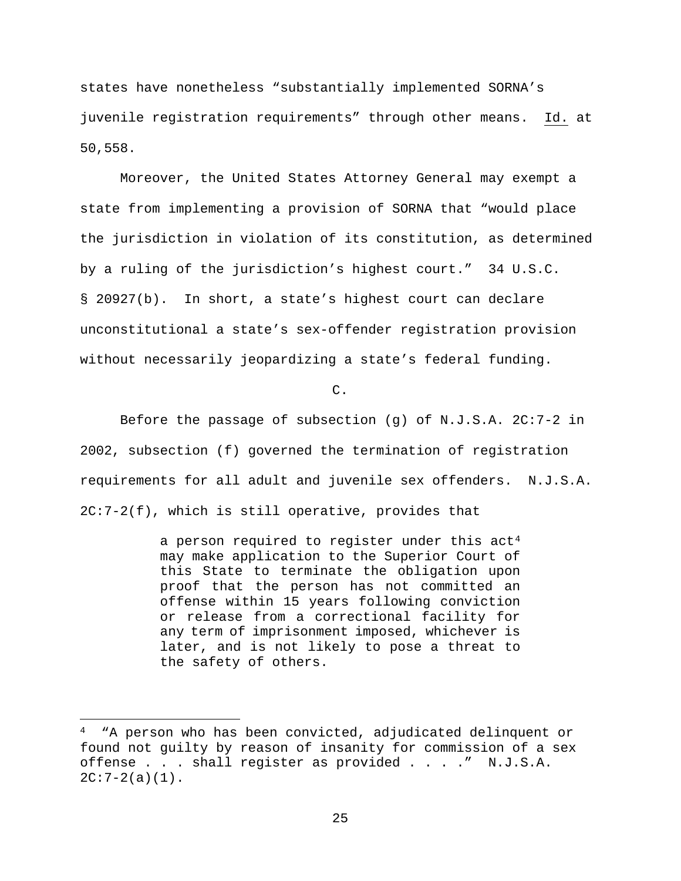states have nonetheless "substantially implemented SORNA's juvenile registration requirements" through other means. Id. at 50,558.

Moreover, the United States Attorney General may exempt a state from implementing a provision of SORNA that "would place the jurisdiction in violation of its constitution, as determined by a ruling of the jurisdiction's highest court." 34 U.S.C. § 20927(b). In short, a state's highest court can declare unconstitutional a state's sex-offender registration provision without necessarily jeopardizing a state's federal funding.

C.

 Before the passage of subsection (g) of N.J.S.A. 2C:7-2 in 2002, subsection (f) governed the termination of registration requirements for all adult and juvenile sex offenders. N.J.S.A. 2C:7-2(f), which is still operative, provides that

> a person required to register under this  $act<sup>4</sup>$ may make application to the Superior Court of this State to terminate the obligation upon proof that the person has not committed an offense within 15 years following conviction or release from a correctional facility for any term of imprisonment imposed, whichever is later, and is not likely to pose a threat to the safety of others.

 $\overline{\phantom{a}}$ 

<sup>&</sup>lt;sup>4</sup> "A person who has been convicted, adjudicated delinquent or found not guilty by reason of insanity for commission of a sex offense . . . shall register as provided . . . ." N.J.S.A.  $2C:7-2(a)(1)$ .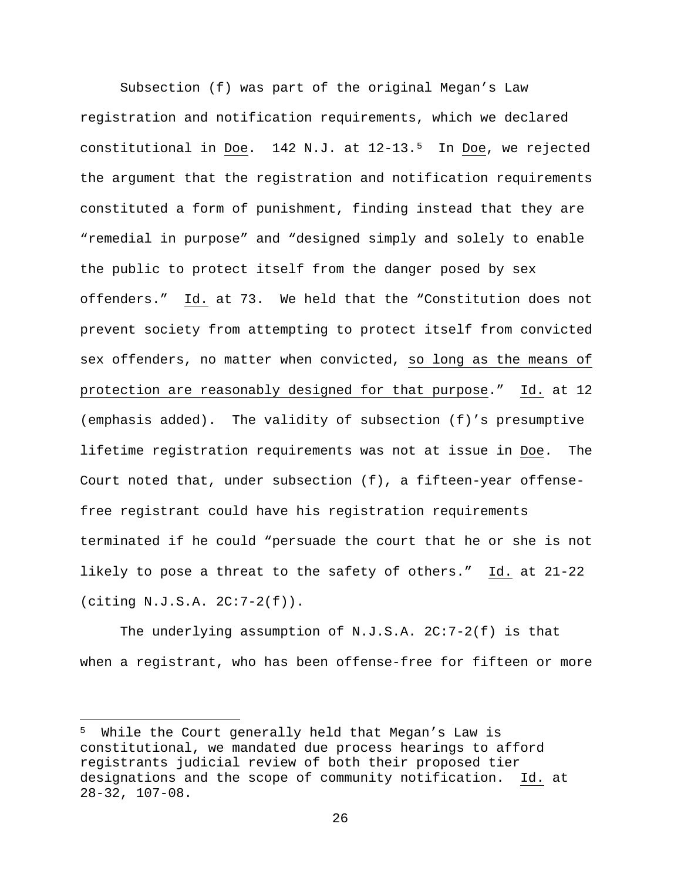Subsection (f) was part of the original Megan's Law registration and notification requirements, which we declared constitutional in Doe. 142 N.J. at 12-13.<sup>5</sup> In Doe, we rejected the argument that the registration and notification requirements constituted a form of punishment, finding instead that they are "remedial in purpose" and "designed simply and solely to enable the public to protect itself from the danger posed by sex offenders." Id. at 73. We held that the "Constitution does not prevent society from attempting to protect itself from convicted sex offenders, no matter when convicted, so long as the means of protection are reasonably designed for that purpose." Id. at 12 (emphasis added). The validity of subsection (f)'s presumptive lifetime registration requirements was not at issue in Doe. The Court noted that, under subsection (f), a fifteen-year offensefree registrant could have his registration requirements terminated if he could "persuade the court that he or she is not likely to pose a threat to the safety of others." Id. at 21-22 (citing N.J.S.A. 2C:7-2(f)).

 The underlying assumption of N.J.S.A. 2C:7-2(f) is that when a registrant, who has been offense-free for fifteen or more

 $\overline{\phantom{a}}$ 

<sup>5</sup> While the Court generally held that Megan's Law is constitutional, we mandated due process hearings to afford registrants judicial review of both their proposed tier designations and the scope of community notification. Id. at 28-32, 107-08.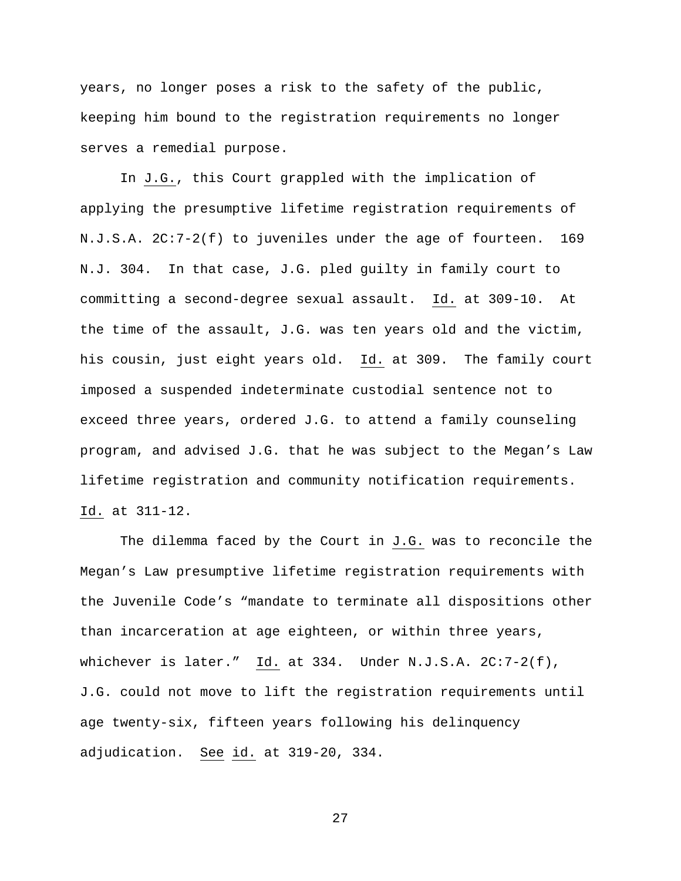years, no longer poses a risk to the safety of the public, keeping him bound to the registration requirements no longer serves a remedial purpose.

 In J.G., this Court grappled with the implication of applying the presumptive lifetime registration requirements of N.J.S.A. 2C:7-2(f) to juveniles under the age of fourteen. 169 N.J. 304. In that case, J.G. pled guilty in family court to committing a second-degree sexual assault. Id. at 309-10. At the time of the assault, J.G. was ten years old and the victim, his cousin, just eight years old. Id. at 309. The family court imposed a suspended indeterminate custodial sentence not to exceed three years, ordered J.G. to attend a family counseling program, and advised J.G. that he was subject to the Megan's Law lifetime registration and community notification requirements. Id. at 311-12.

The dilemma faced by the Court in J.G. was to reconcile the Megan's Law presumptive lifetime registration requirements with the Juvenile Code's "mandate to terminate all dispositions other than incarceration at age eighteen, or within three years, whichever is later." Id. at 334. Under N.J.S.A. 2C:7-2(f), J.G. could not move to lift the registration requirements until age twenty-six, fifteen years following his delinquency adjudication. See id. at 319-20, 334.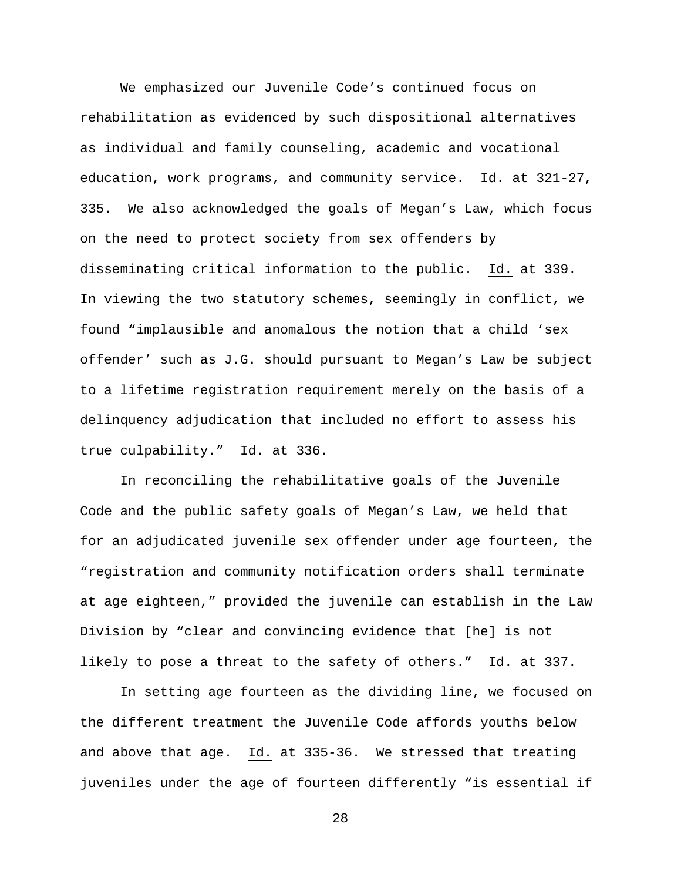We emphasized our Juvenile Code's continued focus on rehabilitation as evidenced by such dispositional alternatives as individual and family counseling, academic and vocational education, work programs, and community service. Id. at 321-27, 335. We also acknowledged the goals of Megan's Law, which focus on the need to protect society from sex offenders by disseminating critical information to the public. Id. at 339. In viewing the two statutory schemes, seemingly in conflict, we found "implausible and anomalous the notion that a child 'sex offender' such as J.G. should pursuant to Megan's Law be subject to a lifetime registration requirement merely on the basis of a delinquency adjudication that included no effort to assess his true culpability." Id. at 336.

In reconciling the rehabilitative goals of the Juvenile Code and the public safety goals of Megan's Law, we held that for an adjudicated juvenile sex offender under age fourteen, the "registration and community notification orders shall terminate at age eighteen," provided the juvenile can establish in the Law Division by "clear and convincing evidence that [he] is not likely to pose a threat to the safety of others." Id. at 337.

In setting age fourteen as the dividing line, we focused on the different treatment the Juvenile Code affords youths below and above that age. Id. at 335-36. We stressed that treating juveniles under the age of fourteen differently "is essential if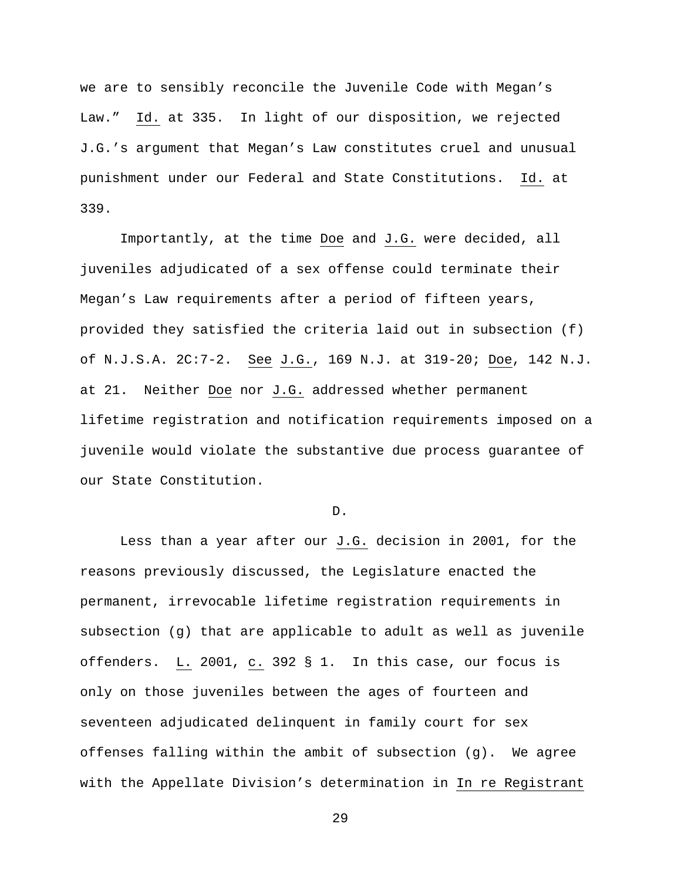we are to sensibly reconcile the Juvenile Code with Megan's Law." Id. at 335. In light of our disposition, we rejected J.G.'s argument that Megan's Law constitutes cruel and unusual punishment under our Federal and State Constitutions. Id. at 339.

Importantly, at the time Doe and J.G. were decided, all juveniles adjudicated of a sex offense could terminate their Megan's Law requirements after a period of fifteen years, provided they satisfied the criteria laid out in subsection (f) of N.J.S.A. 2C:7-2. See J.G., 169 N.J. at 319-20; Doe, 142 N.J. at 21. Neither Doe nor J.G. addressed whether permanent lifetime registration and notification requirements imposed on a juvenile would violate the substantive due process guarantee of our State Constitution.

D.

Less than a year after our J.G. decision in 2001, for the reasons previously discussed, the Legislature enacted the permanent, irrevocable lifetime registration requirements in subsection (g) that are applicable to adult as well as juvenile offenders. L. 2001, c. 392 § 1. In this case, our focus is only on those juveniles between the ages of fourteen and seventeen adjudicated delinquent in family court for sex offenses falling within the ambit of subsection (g). We agree with the Appellate Division's determination in In re Registrant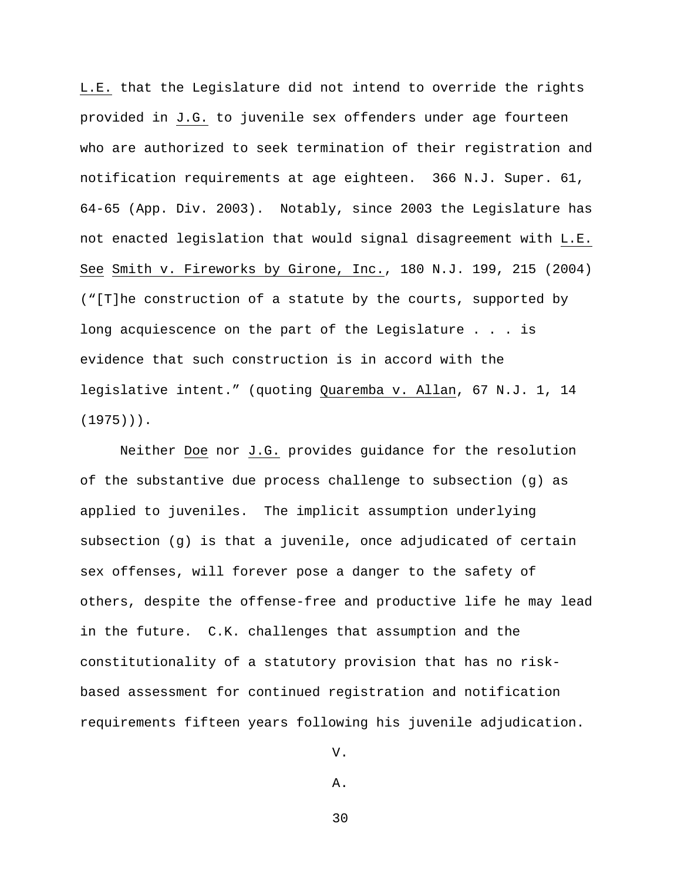L.E. that the Legislature did not intend to override the rights provided in J.G. to juvenile sex offenders under age fourteen who are authorized to seek termination of their registration and notification requirements at age eighteen. 366 N.J. Super. 61, 64-65 (App. Div. 2003). Notably, since 2003 the Legislature has not enacted legislation that would signal disagreement with L.E. See Smith v. Fireworks by Girone, Inc., 180 N.J. 199, 215 (2004) ("[T]he construction of a statute by the courts, supported by long acquiescence on the part of the Legislature . . . is evidence that such construction is in accord with the legislative intent." (quoting Quaremba v. Allan, 67 N.J. 1, 14 (1975))).

Neither Doe nor J.G. provides guidance for the resolution of the substantive due process challenge to subsection (g) as applied to juveniles. The implicit assumption underlying subsection (g) is that a juvenile, once adjudicated of certain sex offenses, will forever pose a danger to the safety of others, despite the offense-free and productive life he may lead in the future. C.K. challenges that assumption and the constitutionality of a statutory provision that has no riskbased assessment for continued registration and notification requirements fifteen years following his juvenile adjudication.

V.

A.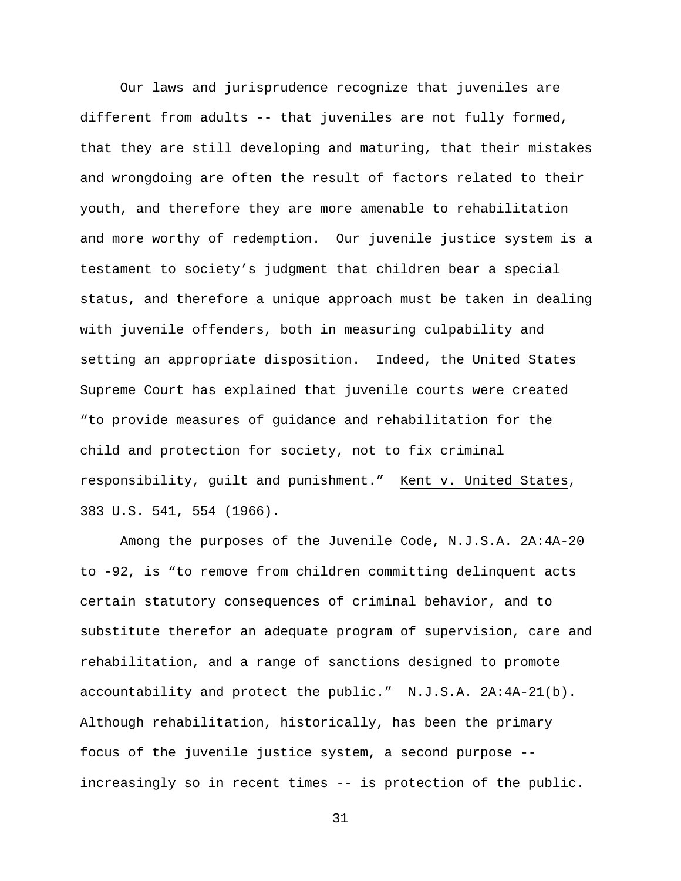Our laws and jurisprudence recognize that juveniles are different from adults -- that juveniles are not fully formed, that they are still developing and maturing, that their mistakes and wrongdoing are often the result of factors related to their youth, and therefore they are more amenable to rehabilitation and more worthy of redemption. Our juvenile justice system is a testament to society's judgment that children bear a special status, and therefore a unique approach must be taken in dealing with juvenile offenders, both in measuring culpability and setting an appropriate disposition. Indeed, the United States Supreme Court has explained that juvenile courts were created "to provide measures of guidance and rehabilitation for the child and protection for society, not to fix criminal responsibility, guilt and punishment." Kent v. United States, 383 U.S. 541, 554 (1966).

Among the purposes of the Juvenile Code, N.J.S.A. 2A:4A-20 to -92, is "to remove from children committing delinquent acts certain statutory consequences of criminal behavior, and to substitute therefor an adequate program of supervision, care and rehabilitation, and a range of sanctions designed to promote accountability and protect the public." N.J.S.A. 2A:4A-21(b). Although rehabilitation, historically, has been the primary focus of the juvenile justice system, a second purpose - increasingly so in recent times -- is protection of the public.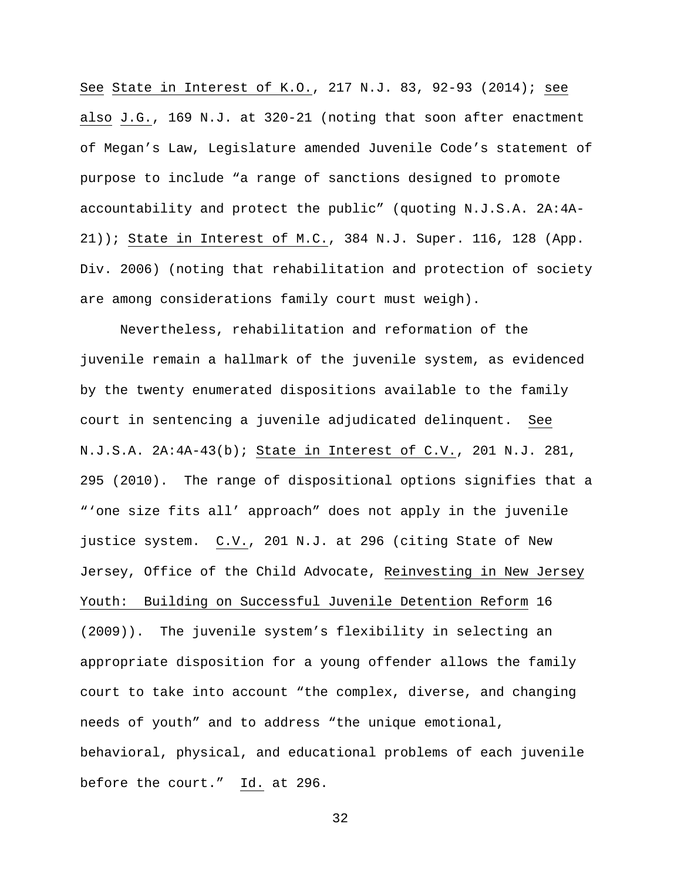See State in Interest of K.O., 217 N.J. 83, 92-93 (2014); see also J.G., 169 N.J. at 320-21 (noting that soon after enactment of Megan's Law, Legislature amended Juvenile Code's statement of purpose to include "a range of sanctions designed to promote accountability and protect the public" (quoting N.J.S.A. 2A:4A-21)); State in Interest of M.C., 384 N.J. Super. 116, 128 (App. Div. 2006) (noting that rehabilitation and protection of society are among considerations family court must weigh).

Nevertheless, rehabilitation and reformation of the juvenile remain a hallmark of the juvenile system, as evidenced by the twenty enumerated dispositions available to the family court in sentencing a juvenile adjudicated delinquent. See N.J.S.A. 2A:4A-43(b); State in Interest of C.V., 201 N.J. 281, 295 (2010). The range of dispositional options signifies that a "'one size fits all' approach" does not apply in the juvenile justice system. C.V., 201 N.J. at 296 (citing State of New Jersey, Office of the Child Advocate, Reinvesting in New Jersey Youth: Building on Successful Juvenile Detention Reform 16 (2009)). The juvenile system's flexibility in selecting an appropriate disposition for a young offender allows the family court to take into account "the complex, diverse, and changing needs of youth" and to address "the unique emotional, behavioral, physical, and educational problems of each juvenile before the court." Id. at 296.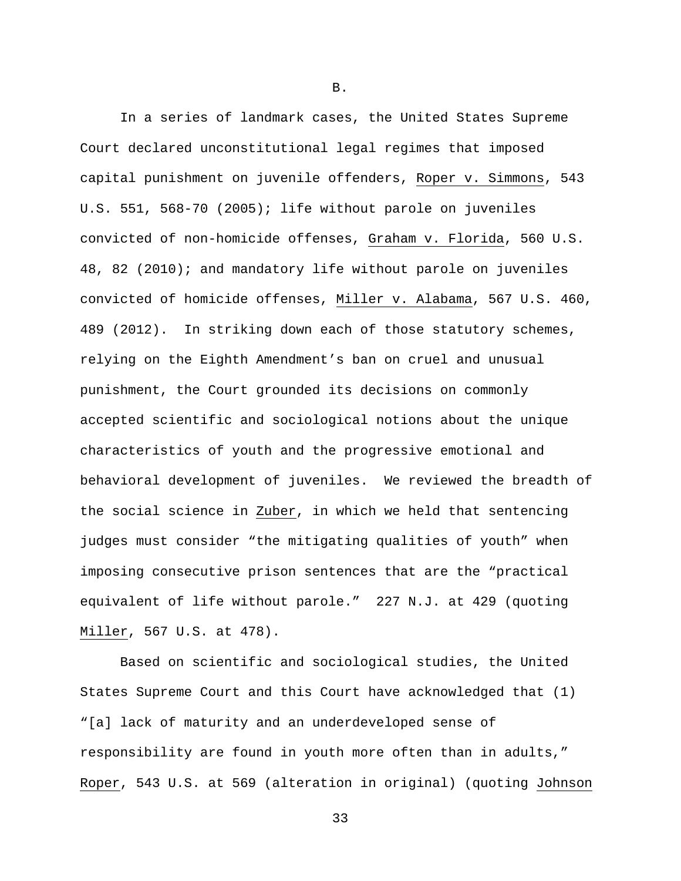In a series of landmark cases, the United States Supreme Court declared unconstitutional legal regimes that imposed capital punishment on juvenile offenders, Roper v. Simmons, 543 U.S. 551, 568-70 (2005); life without parole on juveniles convicted of non-homicide offenses, Graham v. Florida, 560 U.S. 48, 82 (2010); and mandatory life without parole on juveniles convicted of homicide offenses, Miller v. Alabama, 567 U.S. 460, 489 (2012). In striking down each of those statutory schemes, relying on the Eighth Amendment's ban on cruel and unusual punishment, the Court grounded its decisions on commonly accepted scientific and sociological notions about the unique characteristics of youth and the progressive emotional and behavioral development of juveniles. We reviewed the breadth of the social science in Zuber, in which we held that sentencing judges must consider "the mitigating qualities of youth" when imposing consecutive prison sentences that are the "practical equivalent of life without parole." 227 N.J. at 429 (quoting Miller, 567 U.S. at 478).

Based on scientific and sociological studies, the United States Supreme Court and this Court have acknowledged that (1) "[a] lack of maturity and an underdeveloped sense of responsibility are found in youth more often than in adults," Roper, 543 U.S. at 569 (alteration in original) (quoting Johnson

B.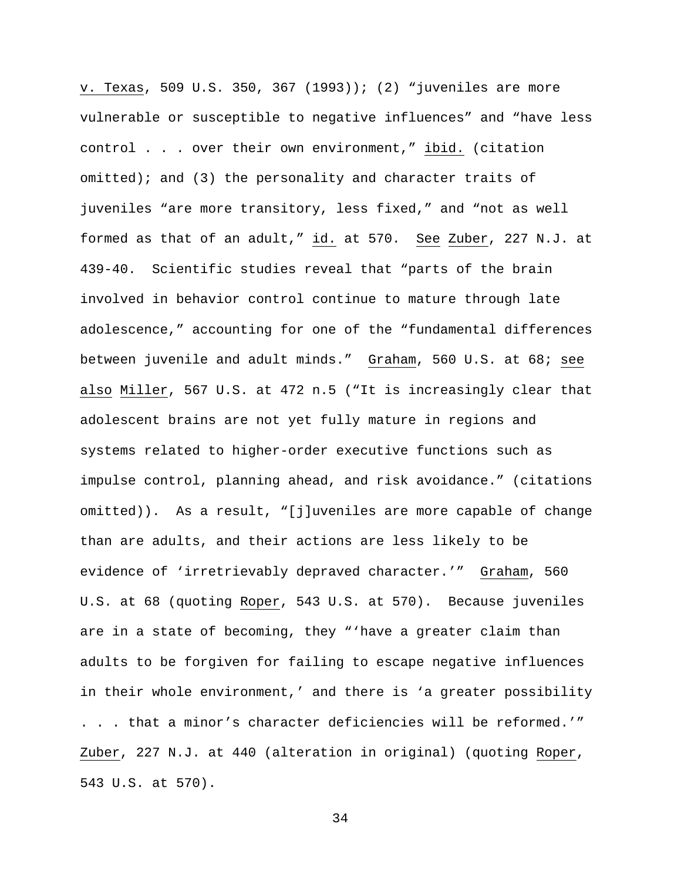v. Texas, 509 U.S. 350, 367 (1993)); (2) "juveniles are more vulnerable or susceptible to negative influences" and "have less control . . . over their own environment," ibid. (citation omitted); and (3) the personality and character traits of juveniles "are more transitory, less fixed," and "not as well formed as that of an adult," id. at 570. See Zuber, 227 N.J. at 439-40. Scientific studies reveal that "parts of the brain involved in behavior control continue to mature through late adolescence," accounting for one of the "fundamental differences between juvenile and adult minds." Graham, 560 U.S. at 68; see also Miller, 567 U.S. at 472 n.5 ("It is increasingly clear that adolescent brains are not yet fully mature in regions and systems related to higher-order executive functions such as impulse control, planning ahead, and risk avoidance." (citations omitted)). As a result, "[j]uveniles are more capable of change than are adults, and their actions are less likely to be evidence of 'irretrievably depraved character.'" Graham, 560 U.S. at 68 (quoting Roper, 543 U.S. at 570). Because juveniles are in a state of becoming, they "'have a greater claim than adults to be forgiven for failing to escape negative influences in their whole environment,' and there is 'a greater possibility . . . that a minor's character deficiencies will be reformed.'" Zuber, 227 N.J. at 440 (alteration in original) (quoting Roper, 543 U.S. at 570).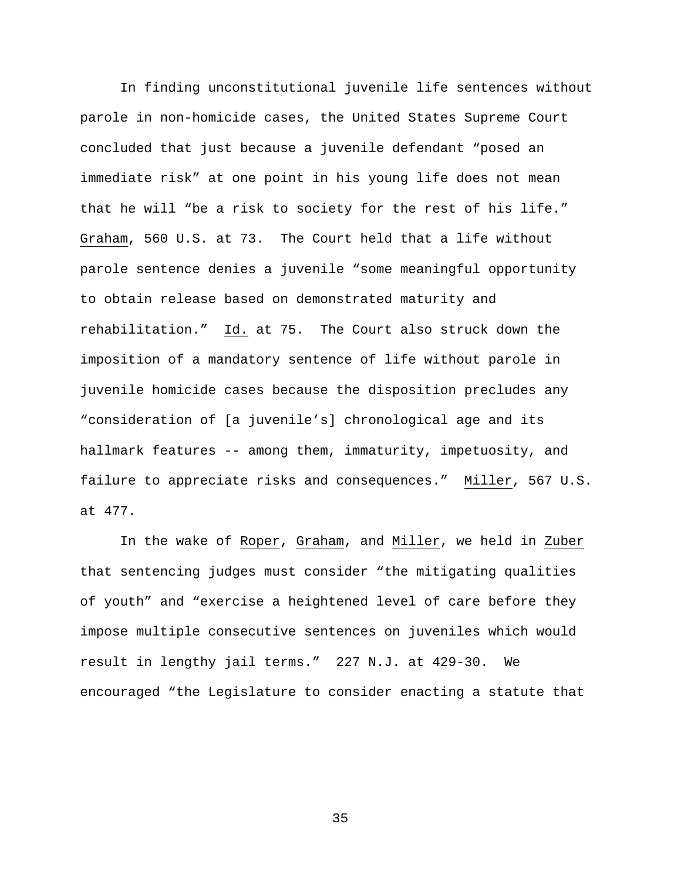In finding unconstitutional juvenile life sentences without parole in non-homicide cases, the United States Supreme Court concluded that just because a juvenile defendant "posed an immediate risk" at one point in his young life does not mean that he will "be a risk to society for the rest of his life." Graham, 560 U.S. at 73. The Court held that a life without parole sentence denies a juvenile "some meaningful opportunity to obtain release based on demonstrated maturity and rehabilitation." Id. at 75. The Court also struck down the imposition of a mandatory sentence of life without parole in juvenile homicide cases because the disposition precludes any "consideration of [a juvenile's] chronological age and its hallmark features -- among them, immaturity, impetuosity, and failure to appreciate risks and consequences." Miller, 567 U.S. at 477.

In the wake of Roper, Graham, and Miller, we held in Zuber that sentencing judges must consider "the mitigating qualities of youth" and "exercise a heightened level of care before they impose multiple consecutive sentences on juveniles which would result in lengthy jail terms." 227 N.J. at 429-30. We encouraged "the Legislature to consider enacting a statute that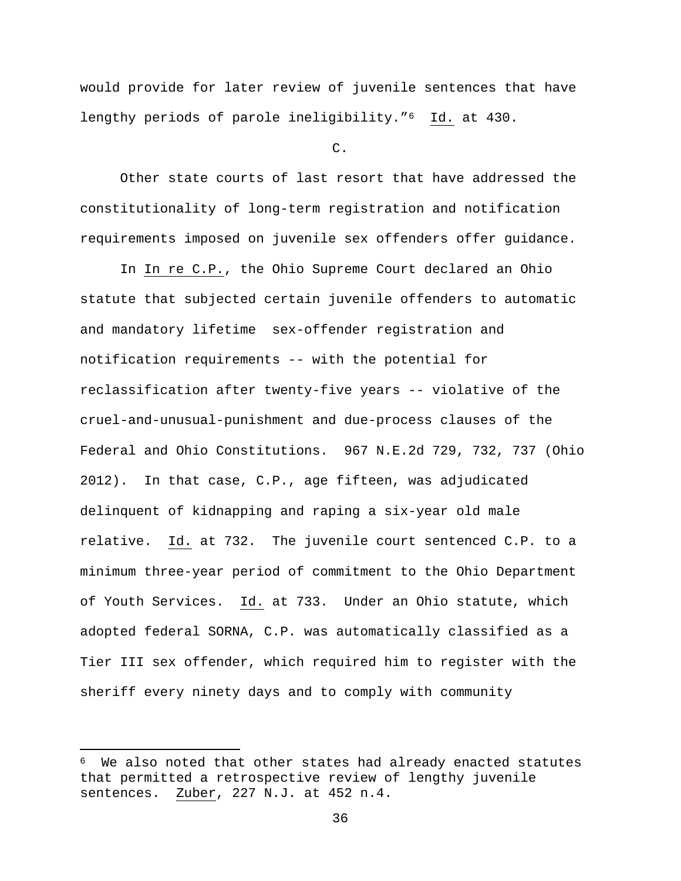would provide for later review of juvenile sentences that have lengthy periods of parole ineligibility."6 Id. at 430.

 $\mathcal{C}$ .

Other state courts of last resort that have addressed the constitutionality of long-term registration and notification requirements imposed on juvenile sex offenders offer guidance.

In In re C.P., the Ohio Supreme Court declared an Ohio statute that subjected certain juvenile offenders to automatic and mandatory lifetime sex-offender registration and notification requirements -- with the potential for reclassification after twenty-five years -- violative of the cruel-and-unusual-punishment and due-process clauses of the Federal and Ohio Constitutions. 967 N.E.2d 729, 732, 737 (Ohio 2012). In that case, C.P., age fifteen, was adjudicated delinquent of kidnapping and raping a six-year old male relative. Id. at 732. The juvenile court sentenced C.P. to a minimum three-year period of commitment to the Ohio Department of Youth Services. Id. at 733. Under an Ohio statute, which adopted federal SORNA, C.P. was automatically classified as a Tier III sex offender, which required him to register with the sheriff every ninety days and to comply with community

We also noted that other states had already enacted statutes that permitted a retrospective review of lengthy juvenile sentences. Zuber, 227 N.J. at 452 n.4.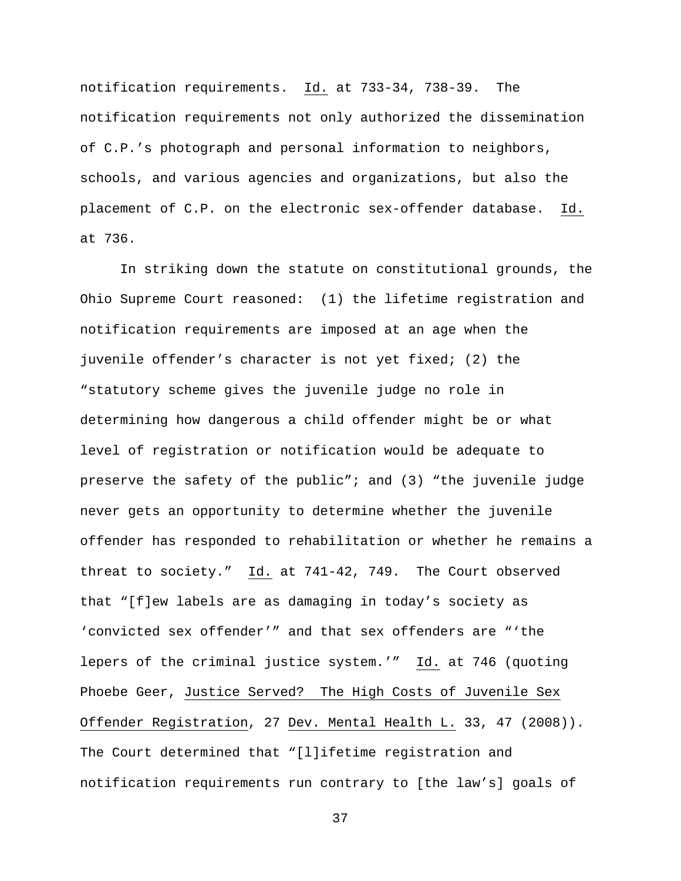notification requirements. Id. at 733-34, 738-39. The notification requirements not only authorized the dissemination of C.P.'s photograph and personal information to neighbors, schools, and various agencies and organizations, but also the placement of C.P. on the electronic sex-offender database. Id. at 736.

In striking down the statute on constitutional grounds, the Ohio Supreme Court reasoned: (1) the lifetime registration and notification requirements are imposed at an age when the juvenile offender's character is not yet fixed; (2) the "statutory scheme gives the juvenile judge no role in determining how dangerous a child offender might be or what level of registration or notification would be adequate to preserve the safety of the public"; and  $(3)$  "the juvenile judge never gets an opportunity to determine whether the juvenile offender has responded to rehabilitation or whether he remains a threat to society." Id. at 741-42, 749. The Court observed that "[f]ew labels are as damaging in today's society as 'convicted sex offender'" and that sex offenders are "'the lepers of the criminal justice system.'" Id. at 746 (quoting Phoebe Geer, Justice Served? The High Costs of Juvenile Sex Offender Registration, 27 Dev. Mental Health L. 33, 47 (2008)). The Court determined that "[l]ifetime registration and notification requirements run contrary to [the law's] goals of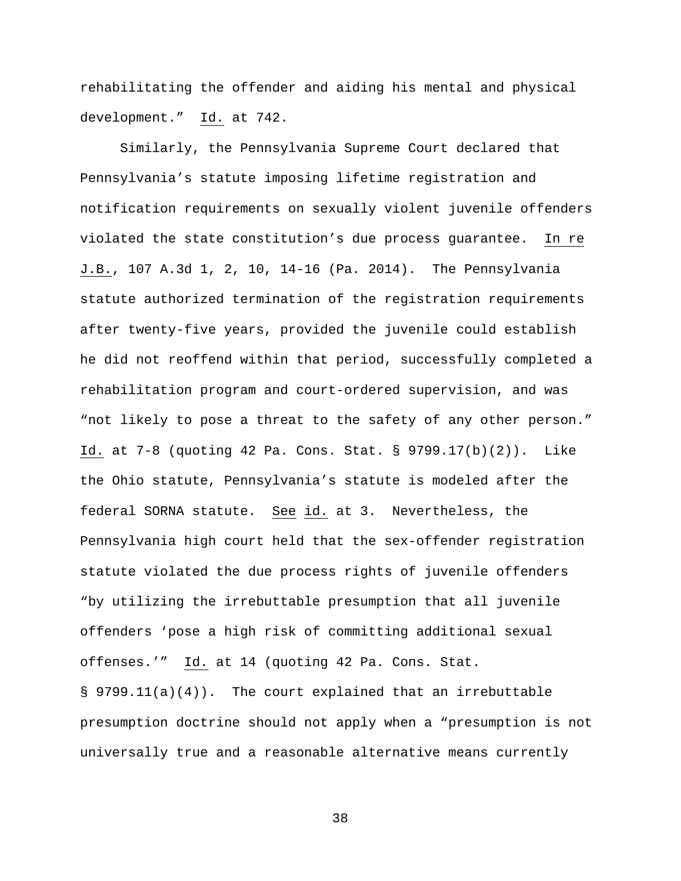rehabilitating the offender and aiding his mental and physical development." Id. at 742.

Similarly, the Pennsylvania Supreme Court declared that Pennsylvania's statute imposing lifetime registration and notification requirements on sexually violent juvenile offenders violated the state constitution's due process guarantee. In re J.B., 107 A.3d 1, 2, 10, 14-16 (Pa. 2014). The Pennsylvania statute authorized termination of the registration requirements after twenty-five years, provided the juvenile could establish he did not reoffend within that period, successfully completed a rehabilitation program and court-ordered supervision, and was "not likely to pose a threat to the safety of any other person." Id. at 7-8 (quoting 42 Pa. Cons. Stat. § 9799.17(b)(2)). Like the Ohio statute, Pennsylvania's statute is modeled after the federal SORNA statute. See id. at 3. Nevertheless, the Pennsylvania high court held that the sex-offender registration statute violated the due process rights of juvenile offenders "by utilizing the irrebuttable presumption that all juvenile offenders 'pose a high risk of committing additional sexual offenses.'" Id. at 14 (quoting 42 Pa. Cons. Stat. § 9799.11(a)(4)). The court explained that an irrebuttable presumption doctrine should not apply when a "presumption is not universally true and a reasonable alternative means currently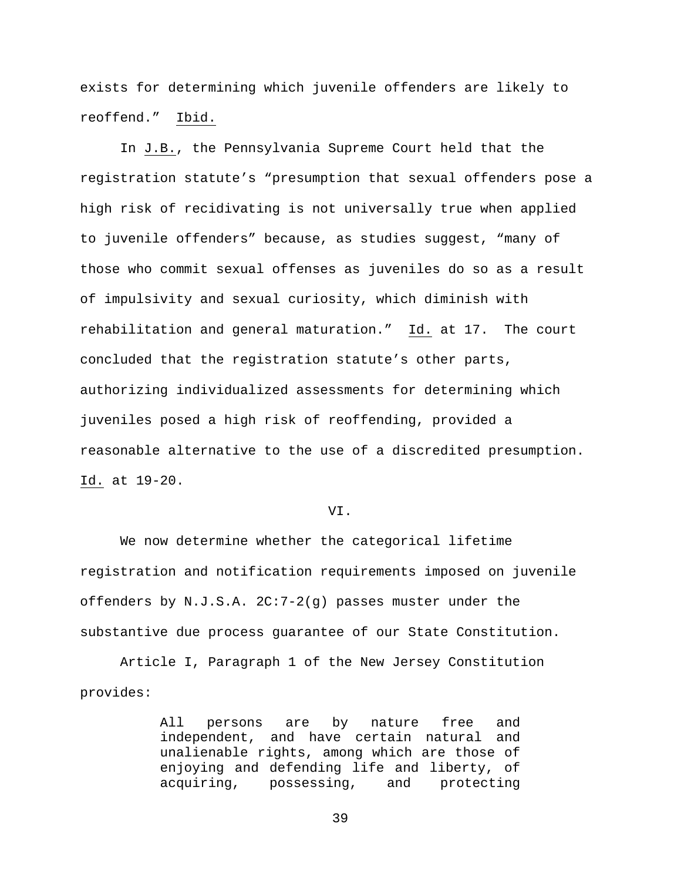exists for determining which juvenile offenders are likely to reoffend." Ibid.

In J.B., the Pennsylvania Supreme Court held that the registration statute's "presumption that sexual offenders pose a high risk of recidivating is not universally true when applied to juvenile offenders" because, as studies suggest, "many of those who commit sexual offenses as juveniles do so as a result of impulsivity and sexual curiosity, which diminish with rehabilitation and general maturation." Id. at 17. The court concluded that the registration statute's other parts, authorizing individualized assessments for determining which juveniles posed a high risk of reoffending, provided a reasonable alternative to the use of a discredited presumption. Id. at 19-20.

#### VI.

We now determine whether the categorical lifetime registration and notification requirements imposed on juvenile offenders by N.J.S.A. 2C:7-2(g) passes muster under the substantive due process guarantee of our State Constitution.

Article I, Paragraph 1 of the New Jersey Constitution provides:

> All persons are by nature free and independent, and have certain natural and unalienable rights, among which are those of enjoying and defending life and liberty, of acquiring, possessing, and protecting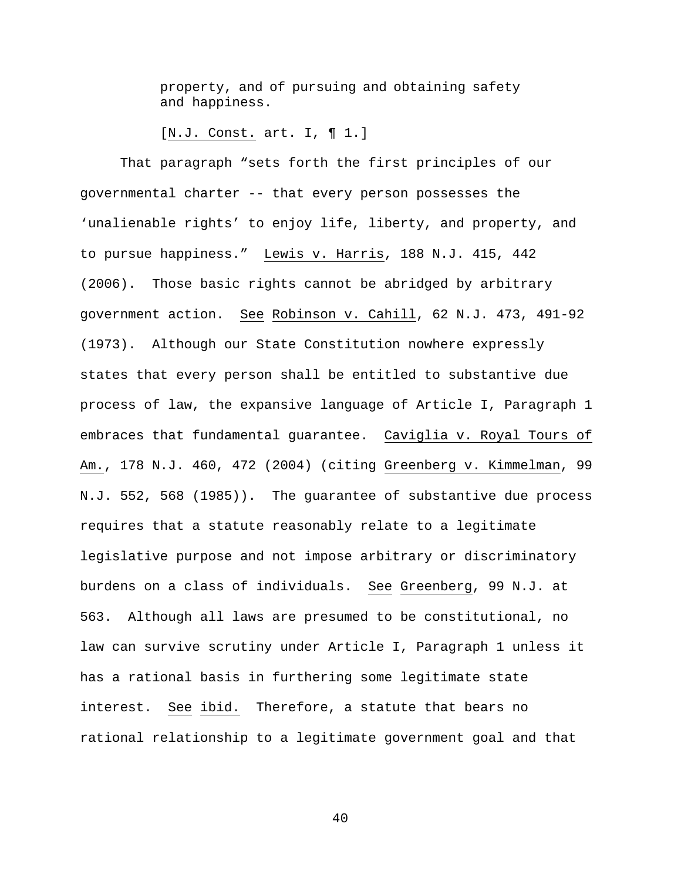property, and of pursuing and obtaining safety and happiness.

[N.J. Const. art. I, ¶ 1.]

That paragraph "sets forth the first principles of our governmental charter -- that every person possesses the 'unalienable rights' to enjoy life, liberty, and property, and to pursue happiness." Lewis v. Harris, 188 N.J. 415, 442 (2006). Those basic rights cannot be abridged by arbitrary government action. See Robinson v. Cahill, 62 N.J. 473, 491-92 (1973). Although our State Constitution nowhere expressly states that every person shall be entitled to substantive due process of law, the expansive language of Article I, Paragraph 1 embraces that fundamental guarantee. Caviglia v. Royal Tours of Am., 178 N.J. 460, 472 (2004) (citing Greenberg v. Kimmelman, 99 N.J. 552, 568 (1985)). The guarantee of substantive due process requires that a statute reasonably relate to a legitimate legislative purpose and not impose arbitrary or discriminatory burdens on a class of individuals. See Greenberg, 99 N.J. at 563. Although all laws are presumed to be constitutional, no law can survive scrutiny under Article I, Paragraph 1 unless it has a rational basis in furthering some legitimate state interest. See ibid. Therefore, a statute that bears no rational relationship to a legitimate government goal and that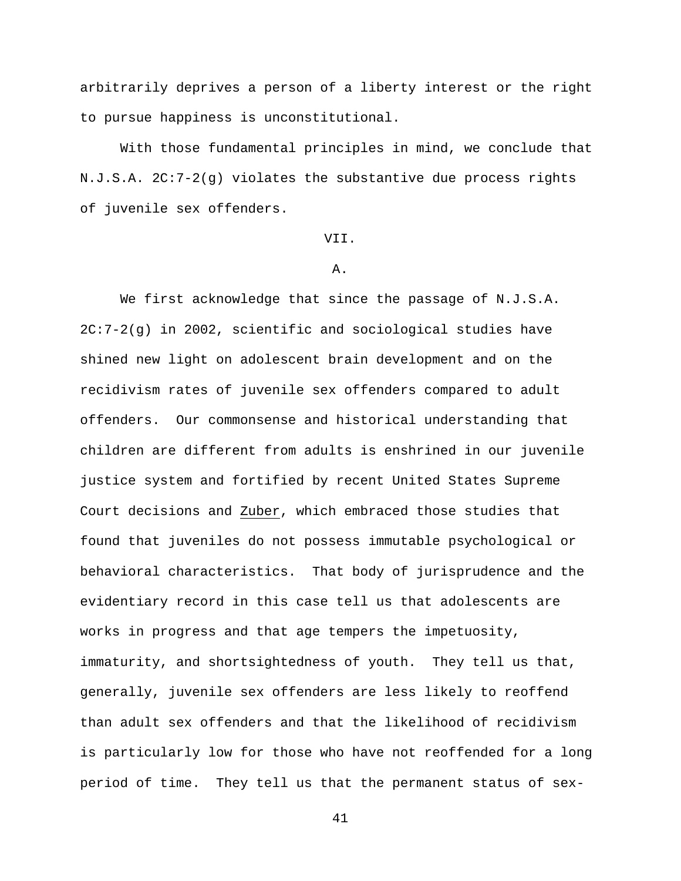arbitrarily deprives a person of a liberty interest or the right to pursue happiness is unconstitutional.

With those fundamental principles in mind, we conclude that N.J.S.A. 2C:7-2(g) violates the substantive due process rights of juvenile sex offenders.

# VII.

### A.

We first acknowledge that since the passage of N.J.S.A. 2C:7-2(g) in 2002, scientific and sociological studies have shined new light on adolescent brain development and on the recidivism rates of juvenile sex offenders compared to adult offenders. Our commonsense and historical understanding that children are different from adults is enshrined in our juvenile justice system and fortified by recent United States Supreme Court decisions and Zuber, which embraced those studies that found that juveniles do not possess immutable psychological or behavioral characteristics. That body of jurisprudence and the evidentiary record in this case tell us that adolescents are works in progress and that age tempers the impetuosity, immaturity, and shortsightedness of youth. They tell us that, generally, juvenile sex offenders are less likely to reoffend than adult sex offenders and that the likelihood of recidivism is particularly low for those who have not reoffended for a long period of time. They tell us that the permanent status of sex-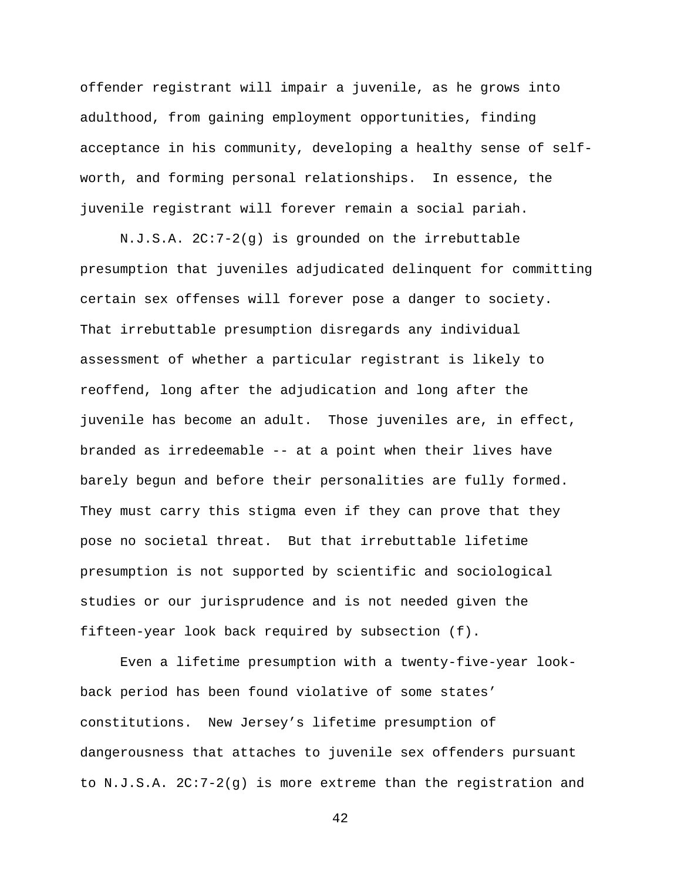offender registrant will impair a juvenile, as he grows into adulthood, from gaining employment opportunities, finding acceptance in his community, developing a healthy sense of selfworth, and forming personal relationships. In essence, the juvenile registrant will forever remain a social pariah.

N.J.S.A. 2C:7-2(g) is grounded on the irrebuttable presumption that juveniles adjudicated delinquent for committing certain sex offenses will forever pose a danger to society. That irrebuttable presumption disregards any individual assessment of whether a particular registrant is likely to reoffend, long after the adjudication and long after the juvenile has become an adult. Those juveniles are, in effect, branded as irredeemable -- at a point when their lives have barely begun and before their personalities are fully formed. They must carry this stigma even if they can prove that they pose no societal threat. But that irrebuttable lifetime presumption is not supported by scientific and sociological studies or our jurisprudence and is not needed given the fifteen-year look back required by subsection (f).

Even a lifetime presumption with a twenty-five-year lookback period has been found violative of some states' constitutions. New Jersey's lifetime presumption of dangerousness that attaches to juvenile sex offenders pursuant to N.J.S.A. 2C:7-2(g) is more extreme than the registration and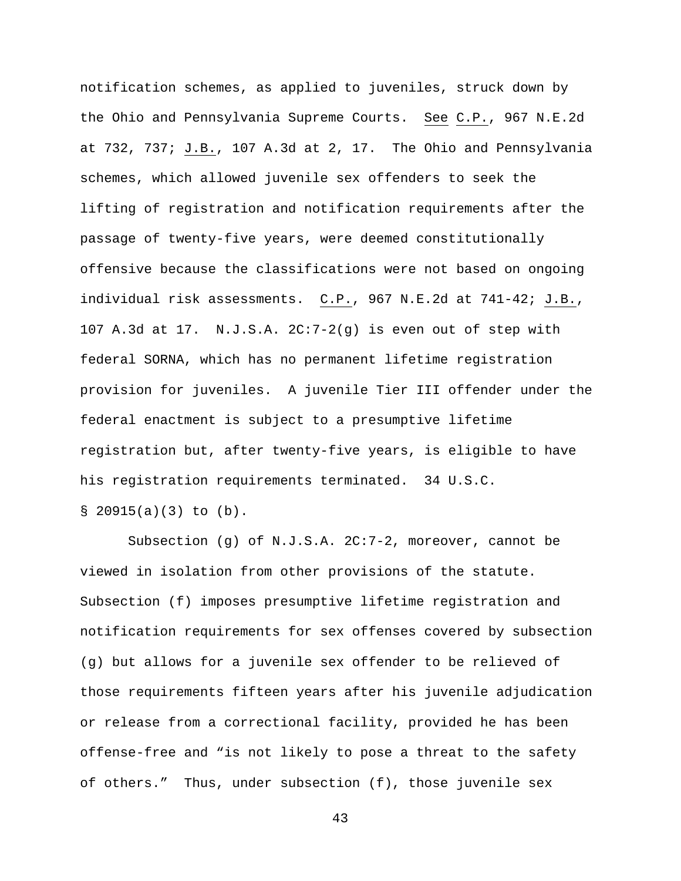notification schemes, as applied to juveniles, struck down by the Ohio and Pennsylvania Supreme Courts. See C.P., 967 N.E.2d at 732, 737; J.B., 107 A.3d at 2, 17. The Ohio and Pennsylvania schemes, which allowed juvenile sex offenders to seek the lifting of registration and notification requirements after the passage of twenty-five years, were deemed constitutionally offensive because the classifications were not based on ongoing individual risk assessments. C.P., 967 N.E.2d at 741-42; J.B., 107 A.3d at 17. N.J.S.A. 2C:7-2(g) is even out of step with federal SORNA, which has no permanent lifetime registration provision for juveniles. A juvenile Tier III offender under the federal enactment is subject to a presumptive lifetime registration but, after twenty-five years, is eligible to have his registration requirements terminated. 34 U.S.C.  $$20915(a)(3)$  to  $(b)$ .

 Subsection (g) of N.J.S.A. 2C:7-2, moreover, cannot be viewed in isolation from other provisions of the statute. Subsection (f) imposes presumptive lifetime registration and notification requirements for sex offenses covered by subsection (g) but allows for a juvenile sex offender to be relieved of those requirements fifteen years after his juvenile adjudication or release from a correctional facility, provided he has been offense-free and "is not likely to pose a threat to the safety of others." Thus, under subsection (f), those juvenile sex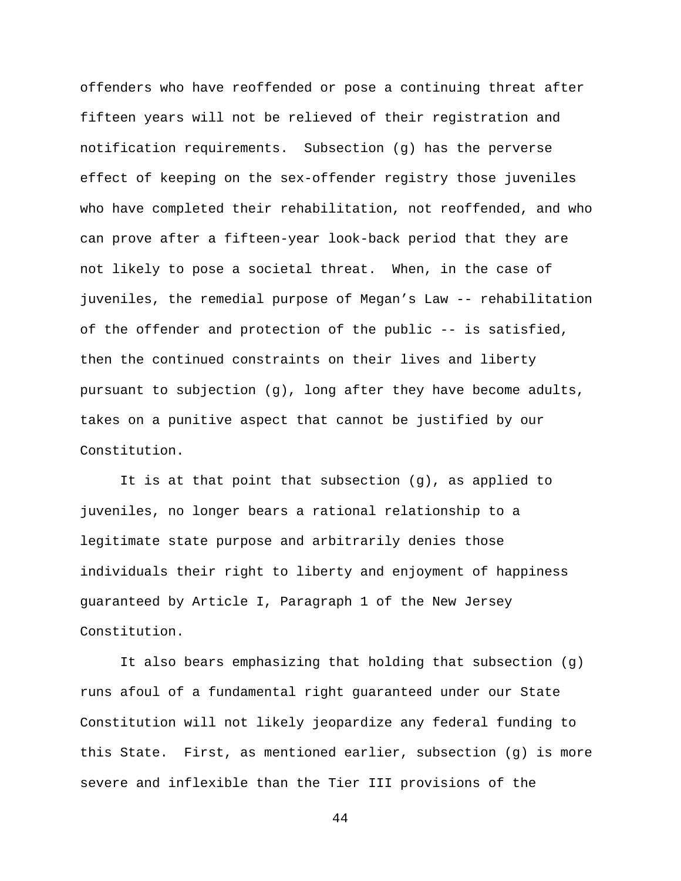offenders who have reoffended or pose a continuing threat after fifteen years will not be relieved of their registration and notification requirements. Subsection (g) has the perverse effect of keeping on the sex-offender registry those juveniles who have completed their rehabilitation, not reoffended, and who can prove after a fifteen-year look-back period that they are not likely to pose a societal threat. When, in the case of juveniles, the remedial purpose of Megan's Law -- rehabilitation of the offender and protection of the public -- is satisfied, then the continued constraints on their lives and liberty pursuant to subjection (g), long after they have become adults, takes on a punitive aspect that cannot be justified by our Constitution.

It is at that point that subsection (g), as applied to juveniles, no longer bears a rational relationship to a legitimate state purpose and arbitrarily denies those individuals their right to liberty and enjoyment of happiness guaranteed by Article I, Paragraph 1 of the New Jersey Constitution.

It also bears emphasizing that holding that subsection (g) runs afoul of a fundamental right guaranteed under our State Constitution will not likely jeopardize any federal funding to this State. First, as mentioned earlier, subsection (g) is more severe and inflexible than the Tier III provisions of the

```
44
```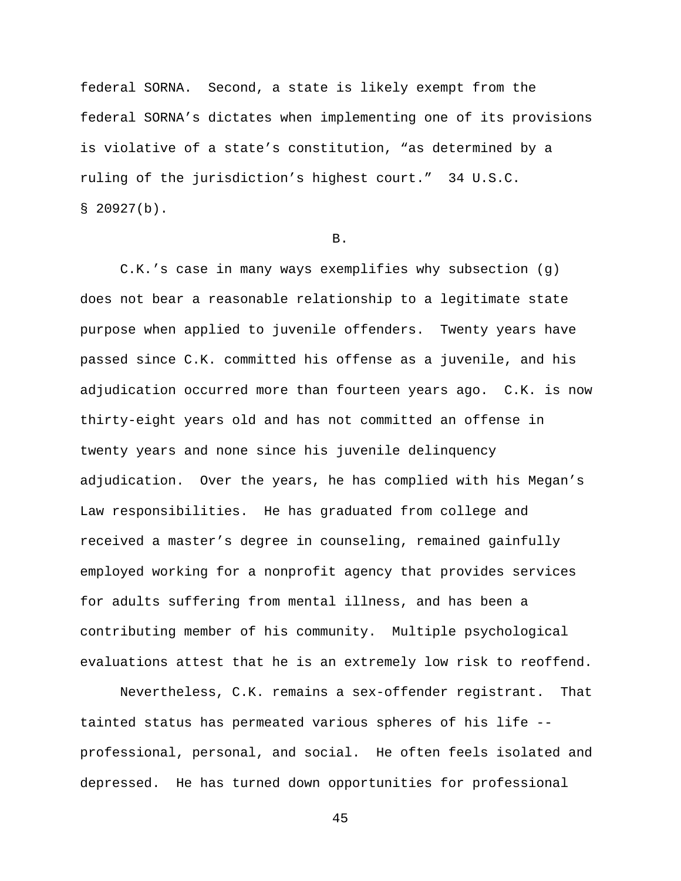federal SORNA. Second, a state is likely exempt from the federal SORNA's dictates when implementing one of its provisions is violative of a state's constitution, "as determined by a ruling of the jurisdiction's highest court." 34 U.S.C.  $$20927(b).$ 

### B.

C.K.'s case in many ways exemplifies why subsection (g) does not bear a reasonable relationship to a legitimate state purpose when applied to juvenile offenders. Twenty years have passed since C.K. committed his offense as a juvenile, and his adjudication occurred more than fourteen years ago. C.K. is now thirty-eight years old and has not committed an offense in twenty years and none since his juvenile delinquency adjudication. Over the years, he has complied with his Megan's Law responsibilities. He has graduated from college and received a master's degree in counseling, remained gainfully employed working for a nonprofit agency that provides services for adults suffering from mental illness, and has been a contributing member of his community. Multiple psychological evaluations attest that he is an extremely low risk to reoffend.

Nevertheless, C.K. remains a sex-offender registrant. That tainted status has permeated various spheres of his life - professional, personal, and social. He often feels isolated and depressed. He has turned down opportunities for professional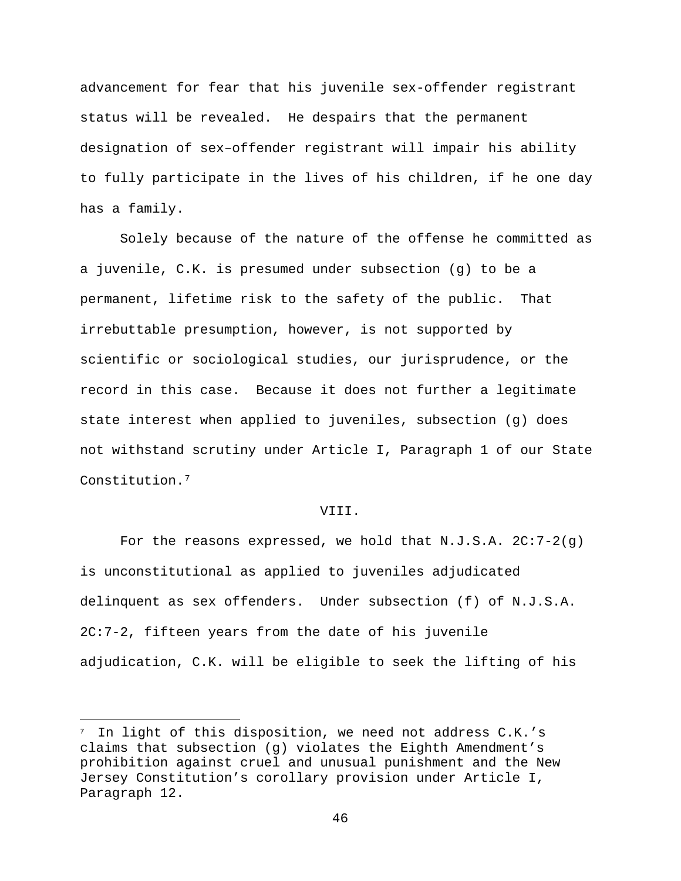advancement for fear that his juvenile sex-offender registrant status will be revealed. He despairs that the permanent designation of sex-offender registrant will impair his ability to fully participate in the lives of his children, if he one day has a family.

Solely because of the nature of the offense he committed as a juvenile, C.K. is presumed under subsection (g) to be a permanent, lifetime risk to the safety of the public. That irrebuttable presumption, however, is not supported by scientific or sociological studies, our jurisprudence, or the record in this case. Because it does not further a legitimate state interest when applied to juveniles, subsection (g) does not withstand scrutiny under Article I, Paragraph 1 of our State Constitution.<sup>7</sup>

### VTTT.

For the reasons expressed, we hold that  $N.J.S.A. 2C:7-2(g)$ is unconstitutional as applied to juveniles adjudicated delinquent as sex offenders. Under subsection (f) of N.J.S.A. 2C:7-2, fifteen years from the date of his juvenile adjudication, C.K. will be eligible to seek the lifting of his

<sup>7</sup> In light of this disposition, we need not address C.K.'s claims that subsection (g) violates the Eighth Amendment's prohibition against cruel and unusual punishment and the New Jersey Constitution's corollary provision under Article I, Paragraph 12.